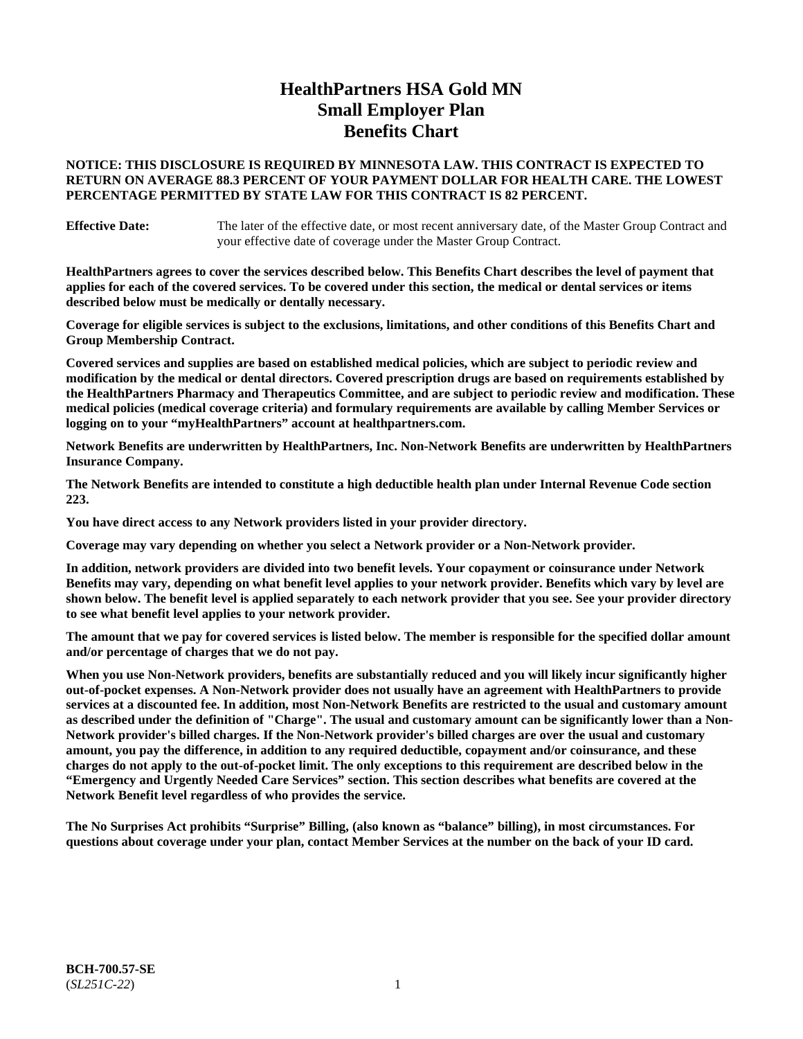# **HealthPartners HSA Gold MN Small Employer Plan Benefits Chart**

### **NOTICE: THIS DISCLOSURE IS REQUIRED BY MINNESOTA LAW. THIS CONTRACT IS EXPECTED TO RETURN ON AVERAGE 88.3 PERCENT OF YOUR PAYMENT DOLLAR FOR HEALTH CARE. THE LOWEST PERCENTAGE PERMITTED BY STATE LAW FOR THIS CONTRACT IS 82 PERCENT.**

**Effective Date:** The later of the effective date, or most recent anniversary date, of the Master Group Contract and your effective date of coverage under the Master Group Contract.

**HealthPartners agrees to cover the services described below. This Benefits Chart describes the level of payment that applies for each of the covered services. To be covered under this section, the medical or dental services or items described below must be medically or dentally necessary.**

**Coverage for eligible services is subject to the exclusions, limitations, and other conditions of this Benefits Chart and Group Membership Contract.**

**Covered services and supplies are based on established medical policies, which are subject to periodic review and modification by the medical or dental directors. Covered prescription drugs are based on requirements established by the HealthPartners Pharmacy and Therapeutics Committee, and are subject to periodic review and modification. These medical policies (medical coverage criteria) and formulary requirements are available by calling Member Services or logging on to your "myHealthPartners" account at [healthpartners.com.](https://www.healthpartners.com/hp/index.html)**

**Network Benefits are underwritten by HealthPartners, Inc. Non-Network Benefits are underwritten by HealthPartners Insurance Company.** 

**The Network Benefits are intended to constitute a high deductible health plan under Internal Revenue Code section 223.** 

**You have direct access to any Network providers listed in your provider directory.**

**Coverage may vary depending on whether you select a Network provider or a Non-Network provider.**

**In addition, network providers are divided into two benefit levels. Your copayment or coinsurance under Network Benefits may vary, depending on what benefit level applies to your network provider. Benefits which vary by level are shown below. The benefit level is applied separately to each network provider that you see. See your provider directory to see what benefit level applies to your network provider.**

**The amount that we pay for covered services is listed below. The member is responsible for the specified dollar amount and/or percentage of charges that we do not pay.**

**When you use Non-Network providers, benefits are substantially reduced and you will likely incur significantly higher out-of-pocket expenses. A Non-Network provider does not usually have an agreement with HealthPartners to provide services at a discounted fee. In addition, most Non-Network Benefits are restricted to the usual and customary amount as described under the definition of "Charge". The usual and customary amount can be significantly lower than a Non-Network provider's billed charges. If the Non-Network provider's billed charges are over the usual and customary amount, you pay the difference, in addition to any required deductible, copayment and/or coinsurance, and these charges do not apply to the out-of-pocket limit. The only exceptions to this requirement are described below in the "Emergency and Urgently Needed Care Services" section. This section describes what benefits are covered at the Network Benefit level regardless of who provides the service.**

**The No Surprises Act prohibits "Surprise" Billing, (also known as "balance" billing), in most circumstances. For questions about coverage under your plan, contact Member Services at the number on the back of your ID card.**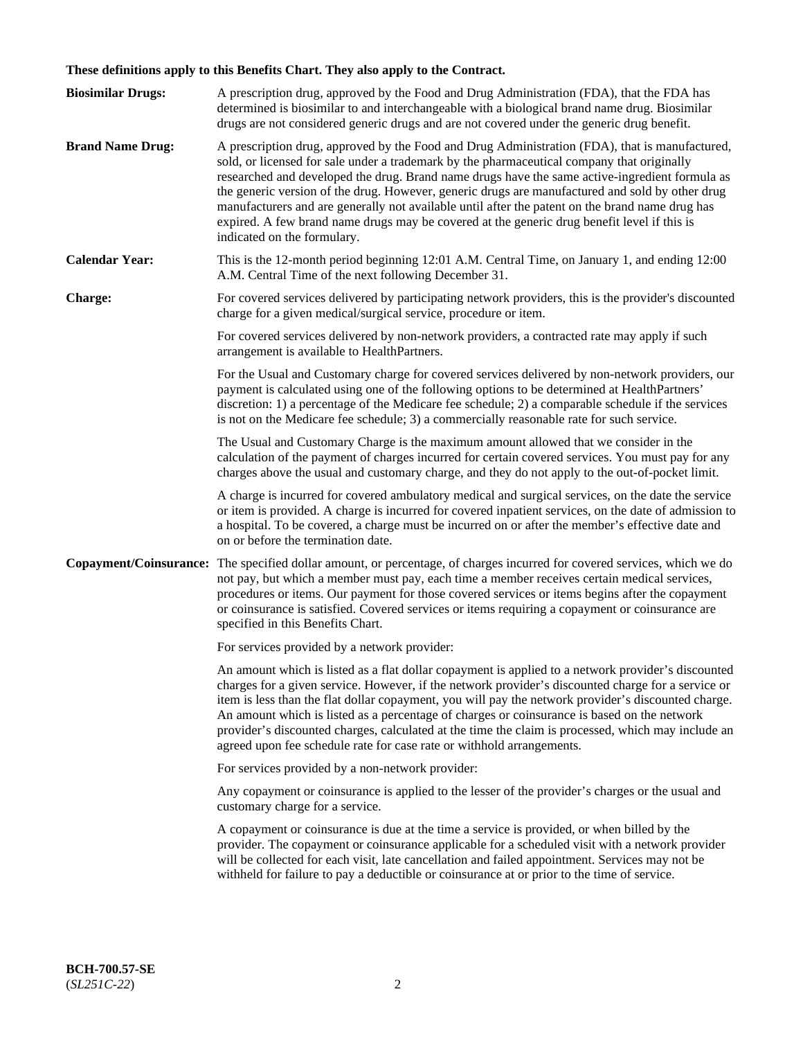# **These definitions apply to this Benefits Chart. They also apply to the Contract.**

| <b>Biosimilar Drugs:</b> | A prescription drug, approved by the Food and Drug Administration (FDA), that the FDA has<br>determined is biosimilar to and interchangeable with a biological brand name drug. Biosimilar<br>drugs are not considered generic drugs and are not covered under the generic drug benefit.                                                                                                                                                                                                                                                                                                                                           |
|--------------------------|------------------------------------------------------------------------------------------------------------------------------------------------------------------------------------------------------------------------------------------------------------------------------------------------------------------------------------------------------------------------------------------------------------------------------------------------------------------------------------------------------------------------------------------------------------------------------------------------------------------------------------|
| <b>Brand Name Drug:</b>  | A prescription drug, approved by the Food and Drug Administration (FDA), that is manufactured,<br>sold, or licensed for sale under a trademark by the pharmaceutical company that originally<br>researched and developed the drug. Brand name drugs have the same active-ingredient formula as<br>the generic version of the drug. However, generic drugs are manufactured and sold by other drug<br>manufacturers and are generally not available until after the patent on the brand name drug has<br>expired. A few brand name drugs may be covered at the generic drug benefit level if this is<br>indicated on the formulary. |
| <b>Calendar Year:</b>    | This is the 12-month period beginning 12:01 A.M. Central Time, on January 1, and ending 12:00<br>A.M. Central Time of the next following December 31.                                                                                                                                                                                                                                                                                                                                                                                                                                                                              |
| <b>Charge:</b>           | For covered services delivered by participating network providers, this is the provider's discounted<br>charge for a given medical/surgical service, procedure or item.                                                                                                                                                                                                                                                                                                                                                                                                                                                            |
|                          | For covered services delivered by non-network providers, a contracted rate may apply if such<br>arrangement is available to HealthPartners.                                                                                                                                                                                                                                                                                                                                                                                                                                                                                        |
|                          | For the Usual and Customary charge for covered services delivered by non-network providers, our<br>payment is calculated using one of the following options to be determined at HealthPartners'<br>discretion: 1) a percentage of the Medicare fee schedule; 2) a comparable schedule if the services<br>is not on the Medicare fee schedule; 3) a commercially reasonable rate for such service.                                                                                                                                                                                                                                  |
|                          | The Usual and Customary Charge is the maximum amount allowed that we consider in the<br>calculation of the payment of charges incurred for certain covered services. You must pay for any<br>charges above the usual and customary charge, and they do not apply to the out-of-pocket limit.                                                                                                                                                                                                                                                                                                                                       |
|                          | A charge is incurred for covered ambulatory medical and surgical services, on the date the service<br>or item is provided. A charge is incurred for covered inpatient services, on the date of admission to<br>a hospital. To be covered, a charge must be incurred on or after the member's effective date and<br>on or before the termination date.                                                                                                                                                                                                                                                                              |
| Copayment/Coinsurance:   | The specified dollar amount, or percentage, of charges incurred for covered services, which we do<br>not pay, but which a member must pay, each time a member receives certain medical services,<br>procedures or items. Our payment for those covered services or items begins after the copayment<br>or coinsurance is satisfied. Covered services or items requiring a copayment or coinsurance are<br>specified in this Benefits Chart.                                                                                                                                                                                        |
|                          | For services provided by a network provider:                                                                                                                                                                                                                                                                                                                                                                                                                                                                                                                                                                                       |
|                          | An amount which is listed as a flat dollar copayment is applied to a network provider's discounted<br>charges for a given service. However, if the network provider's discounted charge for a service or<br>item is less than the flat dollar copayment, you will pay the network provider's discounted charge.<br>An amount which is listed as a percentage of charges or coinsurance is based on the network<br>provider's discounted charges, calculated at the time the claim is processed, which may include an<br>agreed upon fee schedule rate for case rate or withhold arrangements.                                      |
|                          | For services provided by a non-network provider:                                                                                                                                                                                                                                                                                                                                                                                                                                                                                                                                                                                   |
|                          | Any copayment or coinsurance is applied to the lesser of the provider's charges or the usual and<br>customary charge for a service.                                                                                                                                                                                                                                                                                                                                                                                                                                                                                                |
|                          | A copayment or coinsurance is due at the time a service is provided, or when billed by the<br>provider. The copayment or coinsurance applicable for a scheduled visit with a network provider<br>will be collected for each visit, late cancellation and failed appointment. Services may not be<br>withheld for failure to pay a deductible or coinsurance at or prior to the time of service.                                                                                                                                                                                                                                    |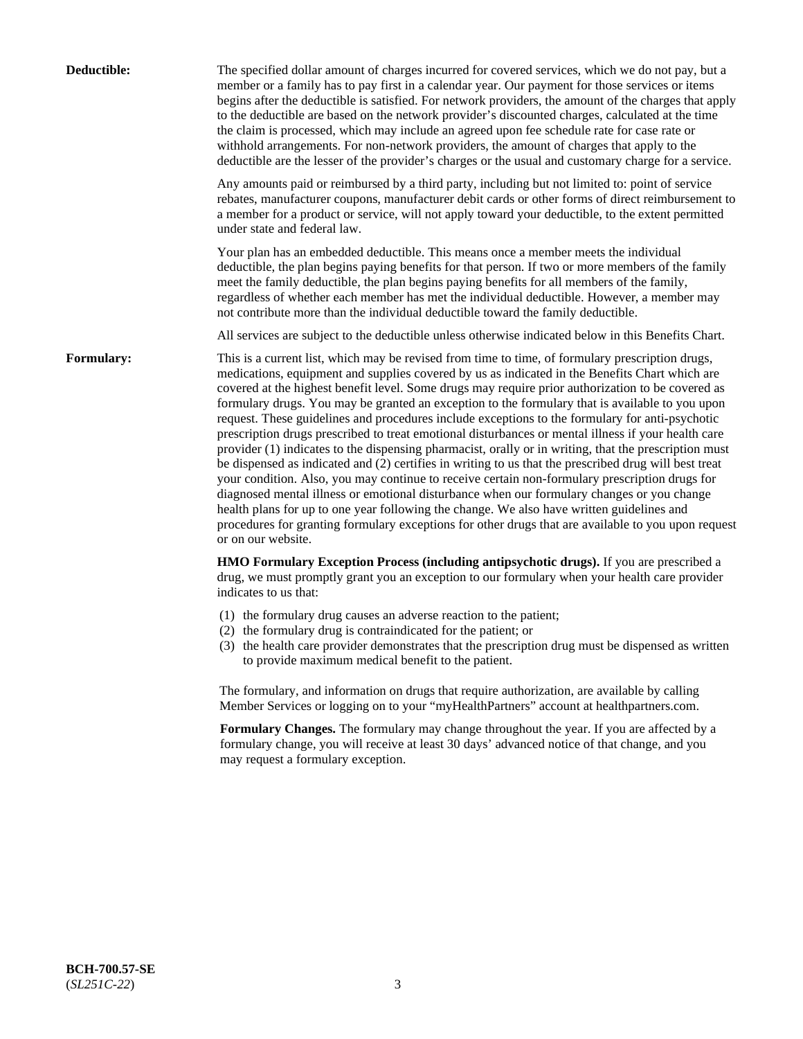| Deductible:       | The specified dollar amount of charges incurred for covered services, which we do not pay, but a<br>member or a family has to pay first in a calendar year. Our payment for those services or items<br>begins after the deductible is satisfied. For network providers, the amount of the charges that apply<br>to the deductible are based on the network provider's discounted charges, calculated at the time<br>the claim is processed, which may include an agreed upon fee schedule rate for case rate or<br>withhold arrangements. For non-network providers, the amount of charges that apply to the<br>deductible are the lesser of the provider's charges or the usual and customary charge for a service.                                                                                                                                                                                                                                                                                                                                                                                                                                                                                                                                             |
|-------------------|------------------------------------------------------------------------------------------------------------------------------------------------------------------------------------------------------------------------------------------------------------------------------------------------------------------------------------------------------------------------------------------------------------------------------------------------------------------------------------------------------------------------------------------------------------------------------------------------------------------------------------------------------------------------------------------------------------------------------------------------------------------------------------------------------------------------------------------------------------------------------------------------------------------------------------------------------------------------------------------------------------------------------------------------------------------------------------------------------------------------------------------------------------------------------------------------------------------------------------------------------------------|
|                   | Any amounts paid or reimbursed by a third party, including but not limited to: point of service<br>rebates, manufacturer coupons, manufacturer debit cards or other forms of direct reimbursement to<br>a member for a product or service, will not apply toward your deductible, to the extent permitted<br>under state and federal law.                                                                                                                                                                                                                                                                                                                                                                                                                                                                                                                                                                                                                                                                                                                                                                                                                                                                                                                        |
|                   | Your plan has an embedded deductible. This means once a member meets the individual<br>deductible, the plan begins paying benefits for that person. If two or more members of the family<br>meet the family deductible, the plan begins paying benefits for all members of the family,<br>regardless of whether each member has met the individual deductible. However, a member may<br>not contribute more than the individual deductible toward the family deductible.                                                                                                                                                                                                                                                                                                                                                                                                                                                                                                                                                                                                                                                                                                                                                                                         |
|                   | All services are subject to the deductible unless otherwise indicated below in this Benefits Chart.                                                                                                                                                                                                                                                                                                                                                                                                                                                                                                                                                                                                                                                                                                                                                                                                                                                                                                                                                                                                                                                                                                                                                              |
| <b>Formulary:</b> | This is a current list, which may be revised from time to time, of formulary prescription drugs,<br>medications, equipment and supplies covered by us as indicated in the Benefits Chart which are<br>covered at the highest benefit level. Some drugs may require prior authorization to be covered as<br>formulary drugs. You may be granted an exception to the formulary that is available to you upon<br>request. These guidelines and procedures include exceptions to the formulary for anti-psychotic<br>prescription drugs prescribed to treat emotional disturbances or mental illness if your health care<br>provider (1) indicates to the dispensing pharmacist, orally or in writing, that the prescription must<br>be dispensed as indicated and (2) certifies in writing to us that the prescribed drug will best treat<br>your condition. Also, you may continue to receive certain non-formulary prescription drugs for<br>diagnosed mental illness or emotional disturbance when our formulary changes or you change<br>health plans for up to one year following the change. We also have written guidelines and<br>procedures for granting formulary exceptions for other drugs that are available to you upon request<br>or on our website. |
|                   | HMO Formulary Exception Process (including antipsychotic drugs). If you are prescribed a<br>drug, we must promptly grant you an exception to our formulary when your health care provider<br>indicates to us that:                                                                                                                                                                                                                                                                                                                                                                                                                                                                                                                                                                                                                                                                                                                                                                                                                                                                                                                                                                                                                                               |
|                   | (1) the formulary drug causes an adverse reaction to the patient;<br>(2) the formulary drug is contraindicated for the patient; or<br>(3) the health care provider demonstrates that the prescription drug must be dispensed as written<br>to provide maximum medical benefit to the patient.                                                                                                                                                                                                                                                                                                                                                                                                                                                                                                                                                                                                                                                                                                                                                                                                                                                                                                                                                                    |
|                   | The formulary, and information on drugs that require authorization, are available by calling<br>Member Services or logging on to your "myHealthPartners" account at healthpartners.com.                                                                                                                                                                                                                                                                                                                                                                                                                                                                                                                                                                                                                                                                                                                                                                                                                                                                                                                                                                                                                                                                          |
|                   | Formulary Changes. The formulary may change throughout the year. If you are affected by a<br>formulary change, you will receive at least 30 days' advanced notice of that change, and you<br>may request a formulary exception.                                                                                                                                                                                                                                                                                                                                                                                                                                                                                                                                                                                                                                                                                                                                                                                                                                                                                                                                                                                                                                  |
|                   |                                                                                                                                                                                                                                                                                                                                                                                                                                                                                                                                                                                                                                                                                                                                                                                                                                                                                                                                                                                                                                                                                                                                                                                                                                                                  |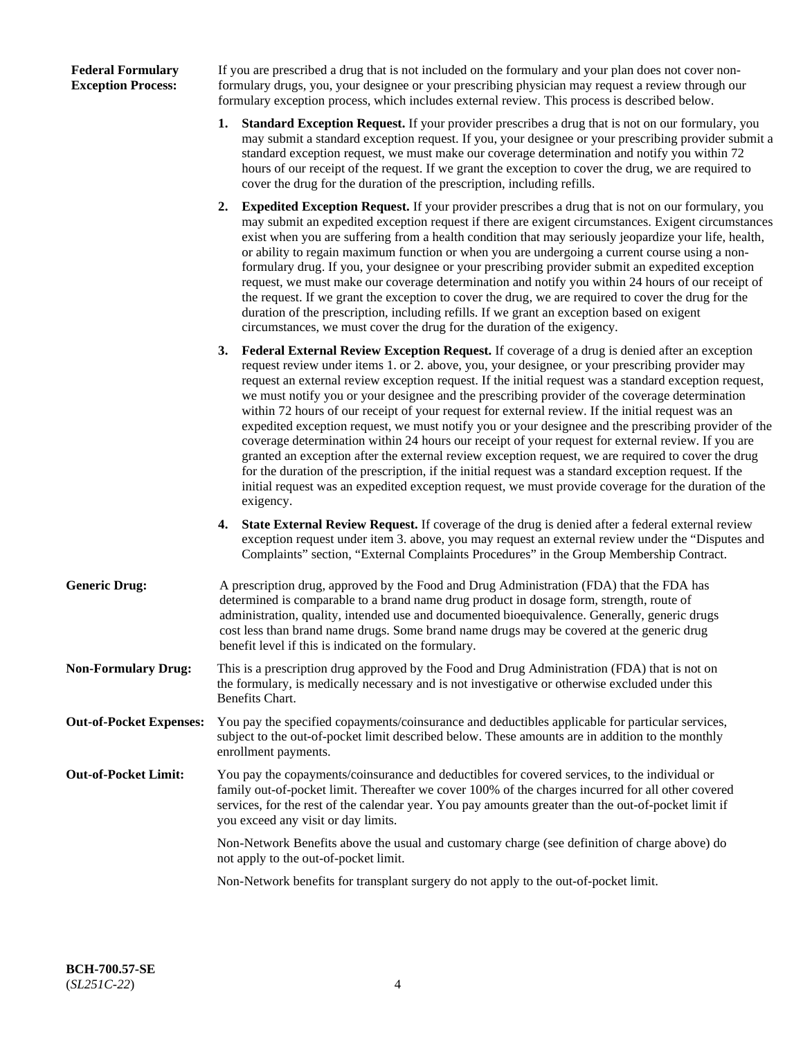| <b>Federal Formulary</b>  |  |
|---------------------------|--|
| <b>Exception Process:</b> |  |

If you are prescribed a drug that is not included on the formulary and your plan does not cover nonformulary drugs, you, your designee or your prescribing physician may request a review through our formulary exception process, which includes external review. This process is described below.

- **1. Standard Exception Request.** If your provider prescribes a drug that is not on our formulary, you may submit a standard exception request. If you, your designee or your prescribing provider submit a standard exception request, we must make our coverage determination and notify you within 72 hours of our receipt of the request. If we grant the exception to cover the drug, we are required to cover the drug for the duration of the prescription, including refills.
- **2. Expedited Exception Request.** If your provider prescribes a drug that is not on our formulary, you may submit an expedited exception request if there are exigent circumstances. Exigent circumstances exist when you are suffering from a health condition that may seriously jeopardize your life, health, or ability to regain maximum function or when you are undergoing a current course using a nonformulary drug. If you, your designee or your prescribing provider submit an expedited exception request, we must make our coverage determination and notify you within 24 hours of our receipt of the request. If we grant the exception to cover the drug, we are required to cover the drug for the duration of the prescription, including refills. If we grant an exception based on exigent circumstances, we must cover the drug for the duration of the exigency.
- **3. Federal External Review Exception Request.** If coverage of a drug is denied after an exception request review under items 1. or 2. above, you, your designee, or your prescribing provider may request an external review exception request. If the initial request was a standard exception request, we must notify you or your designee and the prescribing provider of the coverage determination within 72 hours of our receipt of your request for external review. If the initial request was an expedited exception request, we must notify you or your designee and the prescribing provider of the coverage determination within 24 hours our receipt of your request for external review. If you are granted an exception after the external review exception request, we are required to cover the drug for the duration of the prescription, if the initial request was a standard exception request. If the initial request was an expedited exception request, we must provide coverage for the duration of the exigency.
- **4. State External Review Request.** If coverage of the drug is denied after a federal external review exception request under item 3. above, you may request an external review under the "Disputes and Complaints" section, "External Complaints Procedures" in the Group Membership Contract.
- **Generic Drug:** A prescription drug, approved by the Food and Drug Administration (FDA) that the FDA has determined is comparable to a brand name drug product in dosage form, strength, route of administration, quality, intended use and documented bioequivalence. Generally, generic drugs cost less than brand name drugs. Some brand name drugs may be covered at the generic drug benefit level if this is indicated on the formulary.
- **Non-Formulary Drug:** This is a prescription drug approved by the Food and Drug Administration (FDA) that is not on the formulary, is medically necessary and is not investigative or otherwise excluded under this Benefits Chart.
- **Out-of-Pocket Expenses:** You pay the specified copayments/coinsurance and deductibles applicable for particular services, subject to the out-of-pocket limit described below. These amounts are in addition to the monthly enrollment payments.
- **Out-of-Pocket Limit:** You pay the copayments/coinsurance and deductibles for covered services, to the individual or family out-of-pocket limit. Thereafter we cover 100% of the charges incurred for all other covered services, for the rest of the calendar year. You pay amounts greater than the out-of-pocket limit if you exceed any visit or day limits.

Non-Network Benefits above the usual and customary charge (see definition of charge above) do not apply to the out-of-pocket limit.

Non-Network benefits for transplant surgery do not apply to the out-of-pocket limit.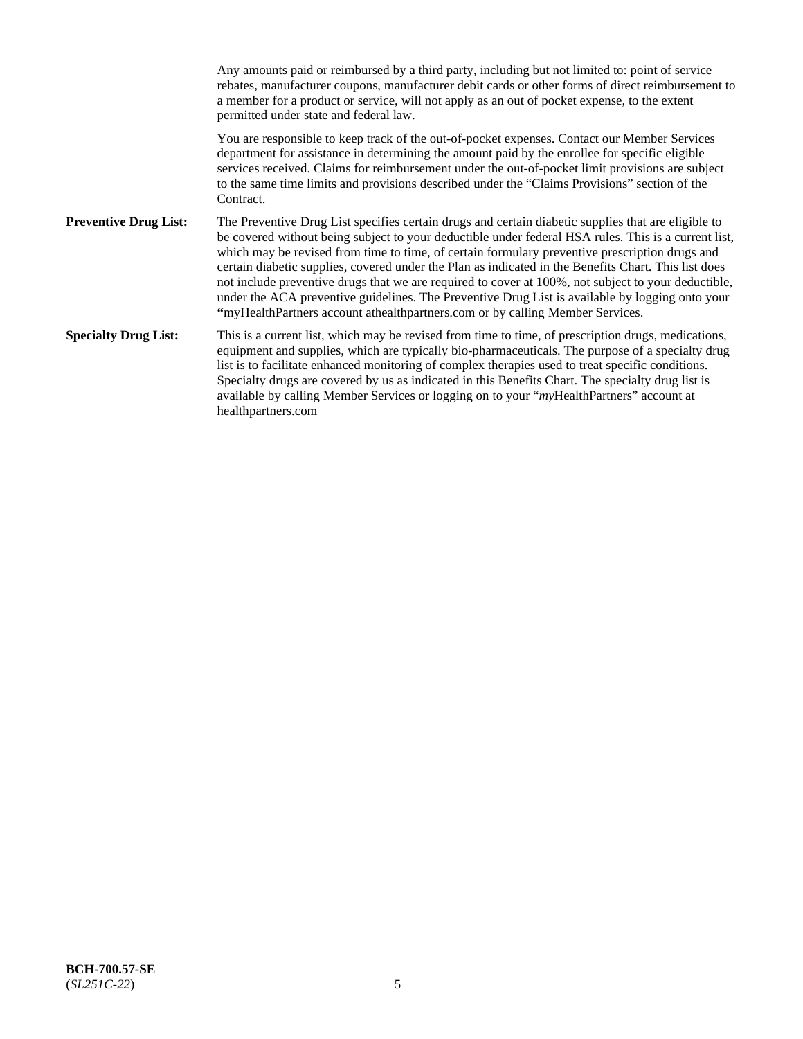Any amounts paid or reimbursed by a third party, including but not limited to: point of service rebates, manufacturer coupons, manufacturer debit cards or other forms of direct reimbursement to a member for a product or service, will not apply as an out of pocket expense, to the extent permitted under state and federal law. You are responsible to keep track of the out-of-pocket expenses. Contact our Member Services department for assistance in determining the amount paid by the enrollee for specific eligible services received. Claims for reimbursement under the out-of-pocket limit provisions are subject to the same time limits and provisions described under the "Claims Provisions" section of the **Contract Preventive Drug List:** The Preventive Drug List specifies certain drugs and certain diabetic supplies that are eligible to be covered without being subject to your deductible under federal HSA rules. This is a current list, which may be revised from time to time, of certain formulary preventive prescription drugs and certain diabetic supplies, covered under the Plan as indicated in the Benefits Chart. This list does not include preventive drugs that we are required to cover at 100%, not subject to your deductible, under the ACA preventive guidelines. The Preventive Drug List is available by logging onto your **"**myHealthPartners account athealthpartners.com or by calling Member Services. **Specialty Drug List:** This is a current list, which may be revised from time to time, of prescription drugs, medications, equipment and supplies, which are typically bio-pharmaceuticals. The purpose of a specialty drug list is to facilitate enhanced monitoring of complex therapies used to treat specific conditions. Specialty drugs are covered by us as indicated in this Benefits Chart. The specialty drug list is available by calling Member Services or logging on to your "*my*HealthPartners" account at [healthpartners.com](https://www.healthpartners.com/hp/index.html)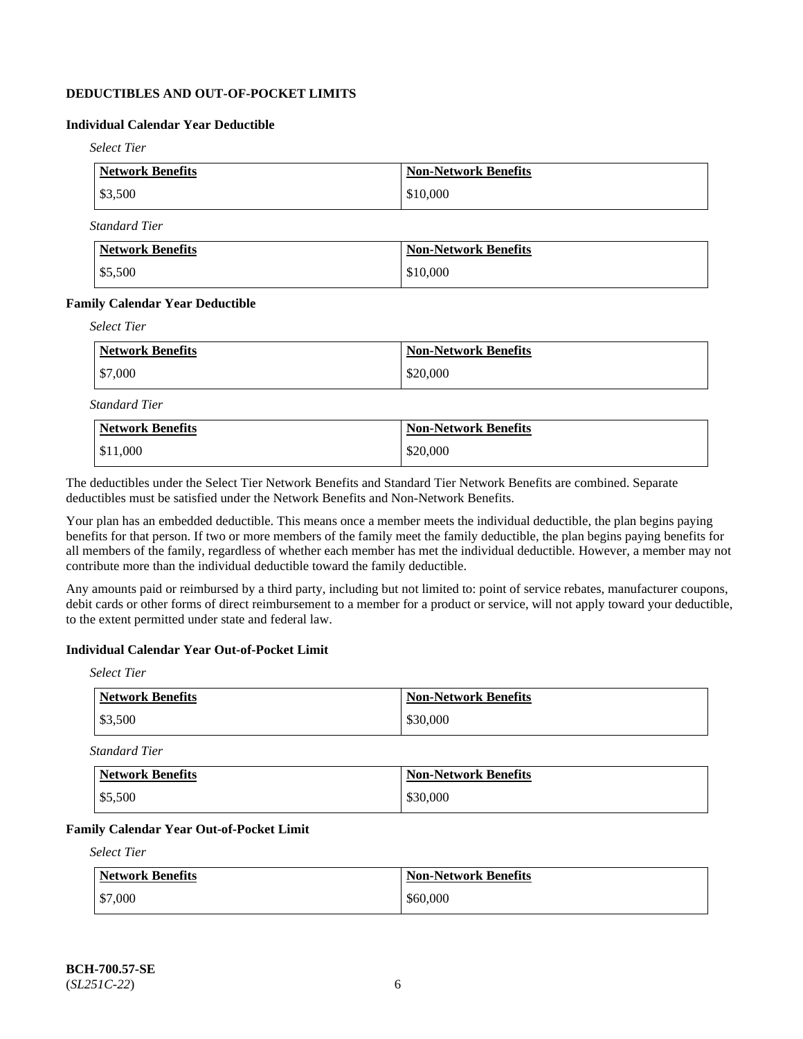# **DEDUCTIBLES AND OUT-OF-POCKET LIMITS**

# **Individual Calendar Year Deductible**

*Select Tier*

| Network Benefits | <b>Non-Network Benefits</b> |
|------------------|-----------------------------|
| \$3,500          | \$10,000                    |

*Standard Tier*

| Network Benefits  | <b>Non-Network Benefits</b> |
|-------------------|-----------------------------|
| $\frac{$5,500}{}$ | \$10,000                    |

#### **Family Calendar Year Deductible**

*Select Tier*

| Network Benefits | <b>Non-Network Benefits</b> |
|------------------|-----------------------------|
| $\$7,000$        | \$20,000                    |

*Standard Tier*

| <b>Network Benefits</b> | <b>Non-Network Benefits</b> |
|-------------------------|-----------------------------|
| \$11,000                | \$20,000                    |

The deductibles under the Select Tier Network Benefits and Standard Tier Network Benefits are combined. Separate deductibles must be satisfied under the Network Benefits and Non-Network Benefits.

Your plan has an embedded deductible. This means once a member meets the individual deductible, the plan begins paying benefits for that person. If two or more members of the family meet the family deductible, the plan begins paying benefits for all members of the family, regardless of whether each member has met the individual deductible. However, a member may not contribute more than the individual deductible toward the family deductible.

Any amounts paid or reimbursed by a third party, including but not limited to: point of service rebates, manufacturer coupons, debit cards or other forms of direct reimbursement to a member for a product or service, will not apply toward your deductible, to the extent permitted under state and federal law.

### **Individual Calendar Year Out-of-Pocket Limit**

*Select Tier*

| <b>Network Benefits</b> | <b>Non-Network Benefits</b> |
|-------------------------|-----------------------------|
| \$3,500                 | \$30,000                    |

*Standard Tier*

| <b>Network Benefits</b> | <b>Non-Network Benefits</b> |
|-------------------------|-----------------------------|
| $\frac{$5,500}{}$       | \$30,000                    |

### **Family Calendar Year Out-of-Pocket Limit**

*Select Tier*

| Network Benefits | <b>Non-Network Benefits</b> |
|------------------|-----------------------------|
| \$7,000          | \$60,000                    |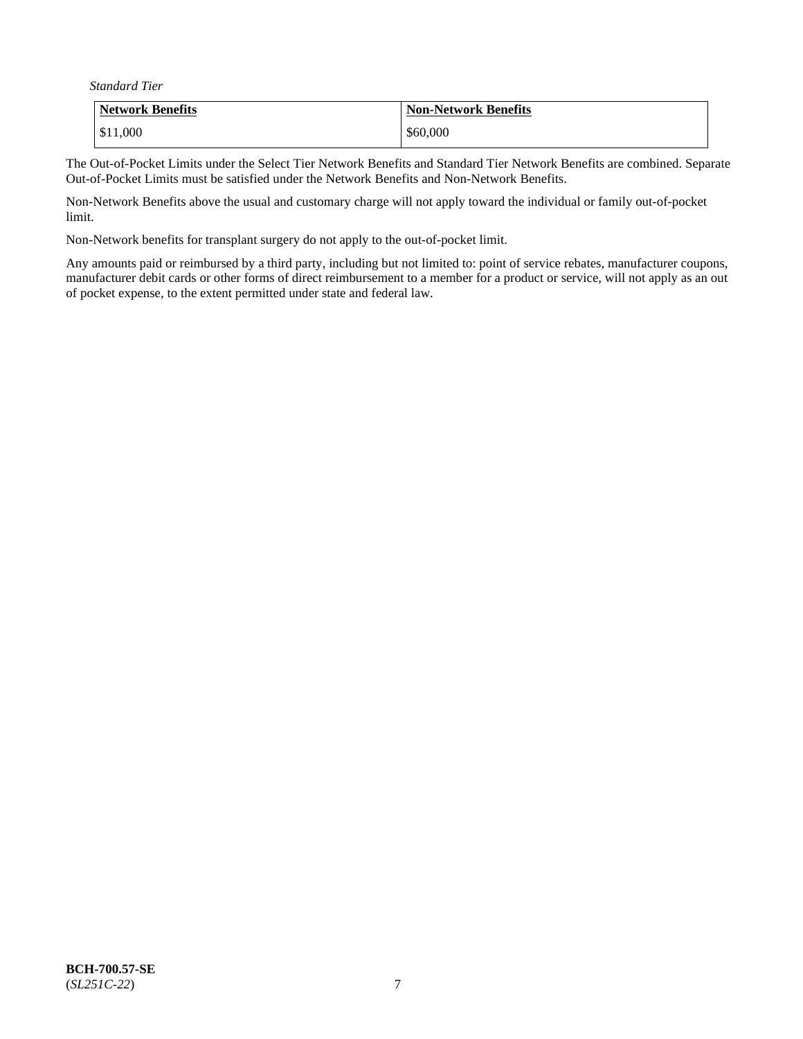*Standard Tier*

| <b>Network Benefits</b> | <b>Non-Network Benefits</b> |
|-------------------------|-----------------------------|
| \$11,000                | \$60,000                    |

The Out-of-Pocket Limits under the Select Tier Network Benefits and Standard Tier Network Benefits are combined. Separate Out-of-Pocket Limits must be satisfied under the Network Benefits and Non-Network Benefits.

Non-Network Benefits above the usual and customary charge will not apply toward the individual or family out-of-pocket limit.

Non-Network benefits for transplant surgery do not apply to the out-of-pocket limit.

Any amounts paid or reimbursed by a third party, including but not limited to: point of service rebates, manufacturer coupons, manufacturer debit cards or other forms of direct reimbursement to a member for a product or service, will not apply as an out of pocket expense, to the extent permitted under state and federal law.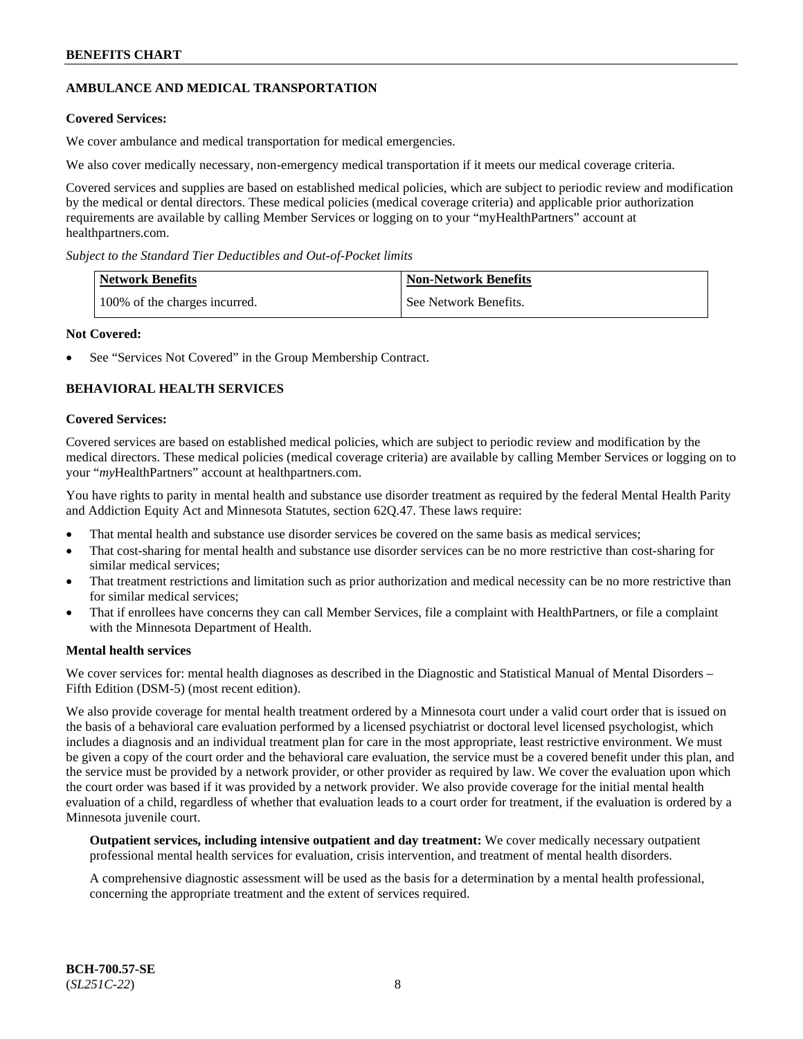# **AMBULANCE AND MEDICAL TRANSPORTATION**

### **Covered Services:**

We cover ambulance and medical transportation for medical emergencies.

We also cover medically necessary, non-emergency medical transportation if it meets our medical coverage criteria.

Covered services and supplies are based on established medical policies, which are subject to periodic review and modification by the medical or dental directors. These medical policies (medical coverage criteria) and applicable prior authorization requirements are available by calling Member Services or logging on to your "myHealthPartners" account at [healthpartners.com.](https://www.healthpartners.com/hp/index.html)

*Subject to the Standard Tier Deductibles and Out-of-Pocket limits*

| <b>Network Benefits</b>       | <b>Non-Network Benefits</b> |
|-------------------------------|-----------------------------|
| 100% of the charges incurred. | See Network Benefits.       |

### **Not Covered:**

See "Services Not Covered" in the Group Membership Contract.

# **BEHAVIORAL HEALTH SERVICES**

#### **Covered Services:**

Covered services are based on established medical policies, which are subject to periodic review and modification by the medical directors. These medical policies (medical coverage criteria) are available by calling Member Services or logging on to your "*my*HealthPartners" account at [healthpartners.com.](http://www.healthpartners.com/)

You have rights to parity in mental health and substance use disorder treatment as required by the federal Mental Health Parity and Addiction Equity Act and Minnesota Statutes, section 62Q.47. These laws require:

- That mental health and substance use disorder services be covered on the same basis as medical services;
- That cost-sharing for mental health and substance use disorder services can be no more restrictive than cost-sharing for similar medical services;
- That treatment restrictions and limitation such as prior authorization and medical necessity can be no more restrictive than for similar medical services;
- That if enrollees have concerns they can call Member Services, file a complaint with HealthPartners, or file a complaint with the Minnesota Department of Health.

### **Mental health services**

We cover services for: mental health diagnoses as described in the Diagnostic and Statistical Manual of Mental Disorders – Fifth Edition (DSM-5) (most recent edition).

We also provide coverage for mental health treatment ordered by a Minnesota court under a valid court order that is issued on the basis of a behavioral care evaluation performed by a licensed psychiatrist or doctoral level licensed psychologist, which includes a diagnosis and an individual treatment plan for care in the most appropriate, least restrictive environment. We must be given a copy of the court order and the behavioral care evaluation, the service must be a covered benefit under this plan, and the service must be provided by a network provider, or other provider as required by law. We cover the evaluation upon which the court order was based if it was provided by a network provider. We also provide coverage for the initial mental health evaluation of a child, regardless of whether that evaluation leads to a court order for treatment, if the evaluation is ordered by a Minnesota juvenile court.

**Outpatient services, including intensive outpatient and day treatment:** We cover medically necessary outpatient professional mental health services for evaluation, crisis intervention, and treatment of mental health disorders.

A comprehensive diagnostic assessment will be used as the basis for a determination by a mental health professional, concerning the appropriate treatment and the extent of services required.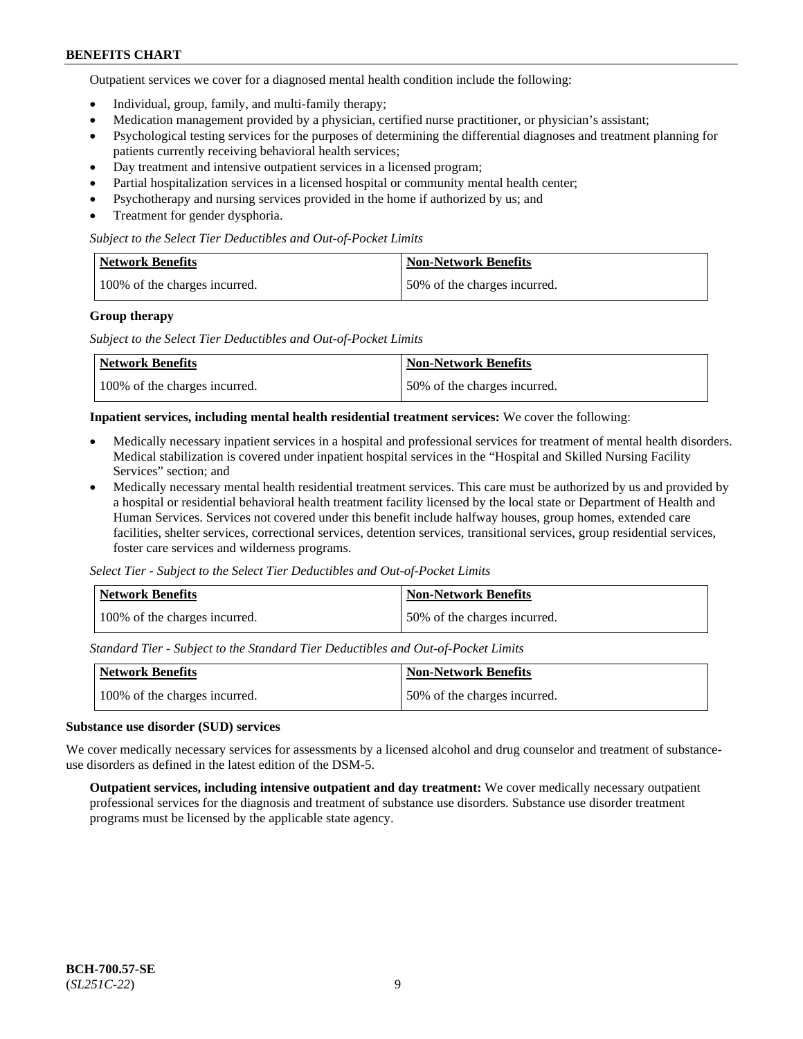Outpatient services we cover for a diagnosed mental health condition include the following:

- Individual, group, family, and multi-family therapy;
- Medication management provided by a physician, certified nurse practitioner, or physician's assistant;
- Psychological testing services for the purposes of determining the differential diagnoses and treatment planning for patients currently receiving behavioral health services;
- Day treatment and intensive outpatient services in a licensed program;
- Partial hospitalization services in a licensed hospital or community mental health center;
- Psychotherapy and nursing services provided in the home if authorized by us; and
- Treatment for gender dysphoria.

#### *Subject to the Select Tier Deductibles and Out-of-Pocket Limits*

| Network Benefits              | <b>Non-Network Benefits</b>  |
|-------------------------------|------------------------------|
| 100% of the charges incurred. | 50% of the charges incurred. |

#### **Group therapy**

*Subject to the Select Tier Deductibles and Out-of-Pocket Limits*

| Network Benefits              | Non-Network Benefits         |
|-------------------------------|------------------------------|
| 100% of the charges incurred. | 50% of the charges incurred. |

#### **Inpatient services, including mental health residential treatment services:** We cover the following:

- Medically necessary inpatient services in a hospital and professional services for treatment of mental health disorders. Medical stabilization is covered under inpatient hospital services in the "Hospital and Skilled Nursing Facility Services" section; and
- Medically necessary mental health residential treatment services. This care must be authorized by us and provided by a hospital or residential behavioral health treatment facility licensed by the local state or Department of Health and Human Services. Services not covered under this benefit include halfway houses, group homes, extended care facilities, shelter services, correctional services, detention services, transitional services, group residential services, foster care services and wilderness programs.

*Select Tier - Subject to the Select Tier Deductibles and Out-of-Pocket Limits*

| Network Benefits              | Non-Network Benefits         |
|-------------------------------|------------------------------|
| 100% of the charges incurred. | 50% of the charges incurred. |

*Standard Tier - Subject to the Standard Tier Deductibles and Out-of-Pocket Limits*

| <b>Network Benefits</b>       | <b>Non-Network Benefits</b>  |
|-------------------------------|------------------------------|
| 100% of the charges incurred. | 50% of the charges incurred. |

#### **Substance use disorder (SUD) services**

We cover medically necessary services for assessments by a licensed alcohol and drug counselor and treatment of substanceuse disorders as defined in the latest edition of the DSM-5.

**Outpatient services, including intensive outpatient and day treatment:** We cover medically necessary outpatient professional services for the diagnosis and treatment of substance use disorders. Substance use disorder treatment programs must be licensed by the applicable state agency.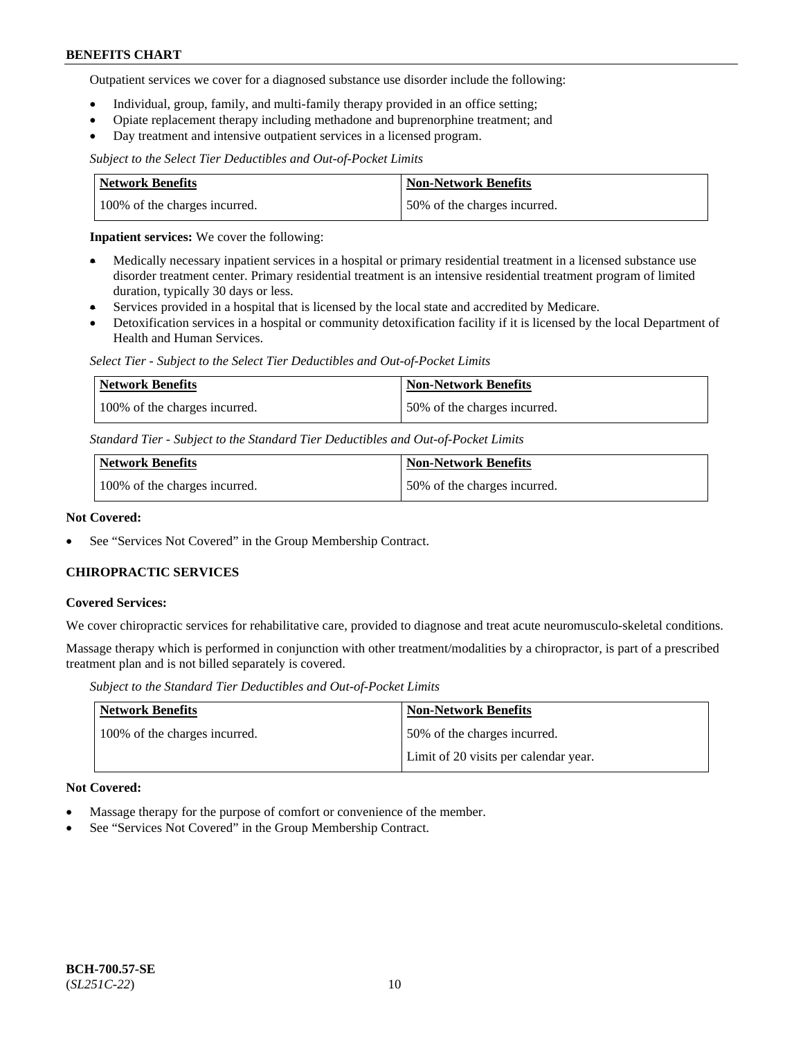Outpatient services we cover for a diagnosed substance use disorder include the following:

- Individual, group, family, and multi-family therapy provided in an office setting;
- Opiate replacement therapy including methadone and buprenorphine treatment; and
- Day treatment and intensive outpatient services in a licensed program.

*Subject to the Select Tier Deductibles and Out-of-Pocket Limits*

| Network Benefits              | <b>Non-Network Benefits</b>  |
|-------------------------------|------------------------------|
| 100% of the charges incurred. | 50% of the charges incurred. |

**Inpatient services:** We cover the following:

- Medically necessary inpatient services in a hospital or primary residential treatment in a licensed substance use disorder treatment center. Primary residential treatment is an intensive residential treatment program of limited duration, typically 30 days or less.
- Services provided in a hospital that is licensed by the local state and accredited by Medicare.
- Detoxification services in a hospital or community detoxification facility if it is licensed by the local Department of Health and Human Services.

*Select Tier - Subject to the Select Tier Deductibles and Out-of-Pocket Limits*

| Network Benefits              | Non-Network Benefits         |
|-------------------------------|------------------------------|
| 100% of the charges incurred. | 50% of the charges incurred. |

*Standard Tier - Subject to the Standard Tier Deductibles and Out-of-Pocket Limits*

| <b>Network Benefits</b>       | <b>Non-Network Benefits</b>  |
|-------------------------------|------------------------------|
| 100% of the charges incurred. | 50% of the charges incurred. |

#### **Not Covered:**

See "Services Not Covered" in the Group Membership Contract.

### **CHIROPRACTIC SERVICES**

#### **Covered Services:**

We cover chiropractic services for rehabilitative care, provided to diagnose and treat acute neuromusculo-skeletal conditions.

Massage therapy which is performed in conjunction with other treatment/modalities by a chiropractor, is part of a prescribed treatment plan and is not billed separately is covered.

*Subject to the Standard Tier Deductibles and Out-of-Pocket Limits*

| <b>Network Benefits</b>       | <b>Non-Network Benefits</b>           |
|-------------------------------|---------------------------------------|
| 100% of the charges incurred. | 50% of the charges incurred.          |
|                               | Limit of 20 visits per calendar year. |

### **Not Covered:**

- Massage therapy for the purpose of comfort or convenience of the member.
- See "Services Not Covered" in the Group Membership Contract.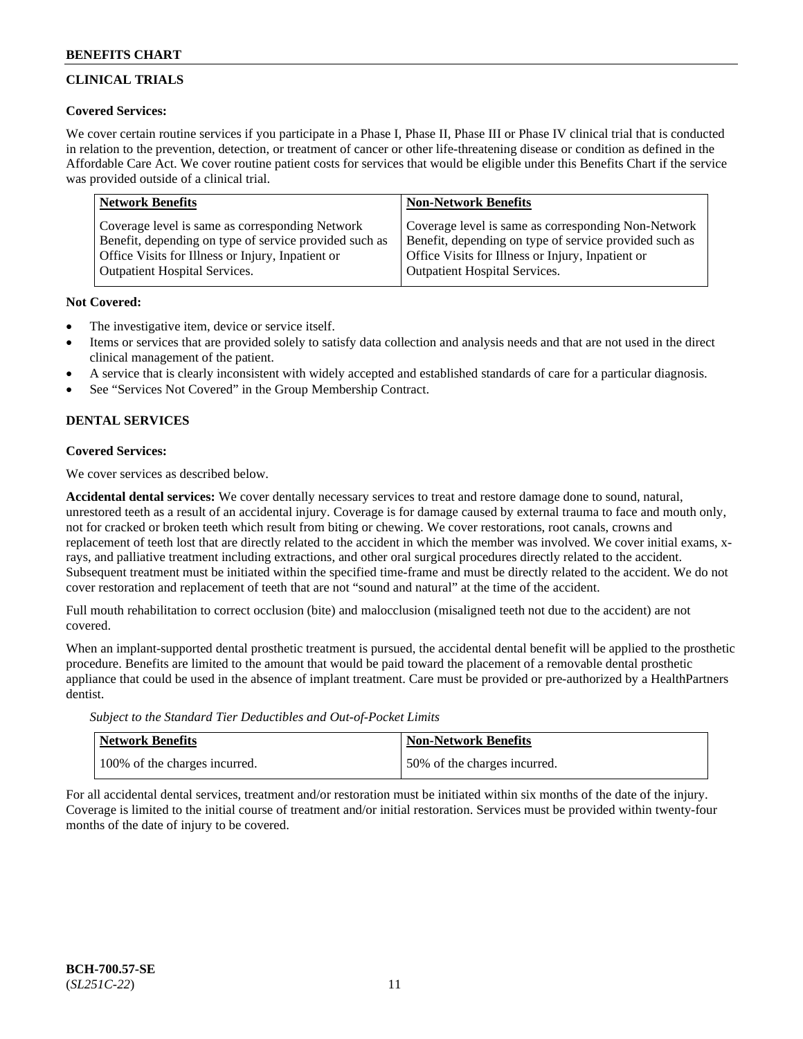# **CLINICAL TRIALS**

### **Covered Services:**

We cover certain routine services if you participate in a Phase I, Phase II, Phase III or Phase IV clinical trial that is conducted in relation to the prevention, detection, or treatment of cancer or other life-threatening disease or condition as defined in the Affordable Care Act. We cover routine patient costs for services that would be eligible under this Benefits Chart if the service was provided outside of a clinical trial.

| <b>Network Benefits</b>                                | <b>Non-Network Benefits</b>                            |
|--------------------------------------------------------|--------------------------------------------------------|
| Coverage level is same as corresponding Network        | Coverage level is same as corresponding Non-Network    |
| Benefit, depending on type of service provided such as | Benefit, depending on type of service provided such as |
| Office Visits for Illness or Injury, Inpatient or      | Office Visits for Illness or Injury, Inpatient or      |
| <b>Outpatient Hospital Services.</b>                   | <b>Outpatient Hospital Services.</b>                   |

### **Not Covered:**

- The investigative item, device or service itself.
- Items or services that are provided solely to satisfy data collection and analysis needs and that are not used in the direct clinical management of the patient.
- A service that is clearly inconsistent with widely accepted and established standards of care for a particular diagnosis.
- See "Services Not Covered" in the Group Membership Contract.

# **DENTAL SERVICES**

# **Covered Services:**

We cover services as described below.

**Accidental dental services:** We cover dentally necessary services to treat and restore damage done to sound, natural, unrestored teeth as a result of an accidental injury. Coverage is for damage caused by external trauma to face and mouth only, not for cracked or broken teeth which result from biting or chewing. We cover restorations, root canals, crowns and replacement of teeth lost that are directly related to the accident in which the member was involved. We cover initial exams, xrays, and palliative treatment including extractions, and other oral surgical procedures directly related to the accident. Subsequent treatment must be initiated within the specified time-frame and must be directly related to the accident. We do not cover restoration and replacement of teeth that are not "sound and natural" at the time of the accident.

Full mouth rehabilitation to correct occlusion (bite) and malocclusion (misaligned teeth not due to the accident) are not covered.

When an implant-supported dental prosthetic treatment is pursued, the accidental dental benefit will be applied to the prosthetic procedure. Benefits are limited to the amount that would be paid toward the placement of a removable dental prosthetic appliance that could be used in the absence of implant treatment. Care must be provided or pre-authorized by a HealthPartners dentist.

*Subject to the Standard Tier Deductibles and Out-of-Pocket Limits*

| <b>Network Benefits</b>       | <b>Non-Network Benefits</b>  |
|-------------------------------|------------------------------|
| 100% of the charges incurred. | 50% of the charges incurred. |

For all accidental dental services, treatment and/or restoration must be initiated within six months of the date of the injury. Coverage is limited to the initial course of treatment and/or initial restoration. Services must be provided within twenty-four months of the date of injury to be covered.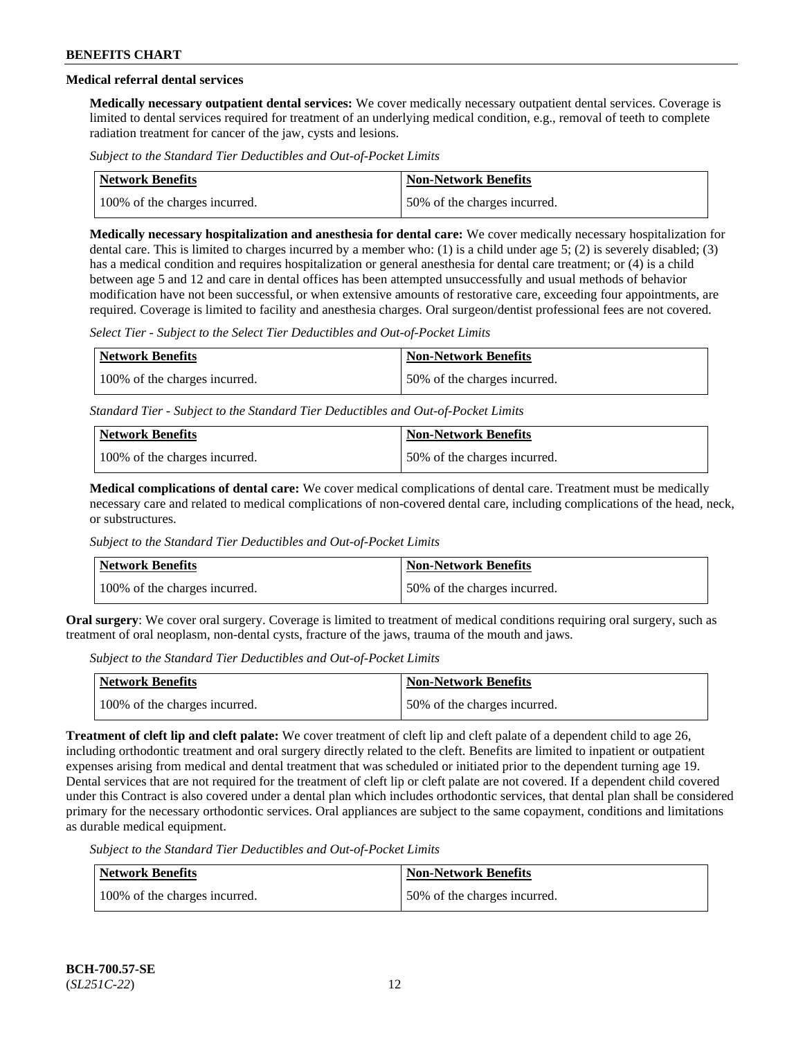# **Medical referral dental services**

**Medically necessary outpatient dental services:** We cover medically necessary outpatient dental services. Coverage is limited to dental services required for treatment of an underlying medical condition, e.g., removal of teeth to complete radiation treatment for cancer of the jaw, cysts and lesions.

*Subject to the Standard Tier Deductibles and Out-of-Pocket Limits*

| Network Benefits              | Non-Network Benefits         |
|-------------------------------|------------------------------|
| 100% of the charges incurred. | 50% of the charges incurred. |

**Medically necessary hospitalization and anesthesia for dental care:** We cover medically necessary hospitalization for dental care. This is limited to charges incurred by a member who: (1) is a child under age 5; (2) is severely disabled; (3) has a medical condition and requires hospitalization or general anesthesia for dental care treatment; or (4) is a child between age 5 and 12 and care in dental offices has been attempted unsuccessfully and usual methods of behavior modification have not been successful, or when extensive amounts of restorative care, exceeding four appointments, are required. Coverage is limited to facility and anesthesia charges. Oral surgeon/dentist professional fees are not covered.

*Select Tier - Subject to the Select Tier Deductibles and Out-of-Pocket Limits*

| Network Benefits              | Non-Network Benefits         |
|-------------------------------|------------------------------|
| 100% of the charges incurred. | 50% of the charges incurred. |

*Standard Tier - Subject to the Standard Tier Deductibles and Out-of-Pocket Limits*

| <b>Network Benefits</b>       | <b>Non-Network Benefits</b>  |
|-------------------------------|------------------------------|
| 100% of the charges incurred. | 50% of the charges incurred. |

**Medical complications of dental care:** We cover medical complications of dental care. Treatment must be medically necessary care and related to medical complications of non-covered dental care, including complications of the head, neck, or substructures.

*Subject to the Standard Tier Deductibles and Out-of-Pocket Limits*

| <b>Network Benefits</b>       | <b>Non-Network Benefits</b>  |
|-------------------------------|------------------------------|
| 100% of the charges incurred. | 50% of the charges incurred. |

**Oral surgery**: We cover oral surgery. Coverage is limited to treatment of medical conditions requiring oral surgery, such as treatment of oral neoplasm, non-dental cysts, fracture of the jaws, trauma of the mouth and jaws.

*Subject to the Standard Tier Deductibles and Out-of-Pocket Limits*

| <b>Network Benefits</b>       | <b>Non-Network Benefits</b>  |
|-------------------------------|------------------------------|
| 100% of the charges incurred. | 50% of the charges incurred. |

**Treatment of cleft lip and cleft palate:** We cover treatment of cleft lip and cleft palate of a dependent child to age 26, including orthodontic treatment and oral surgery directly related to the cleft. Benefits are limited to inpatient or outpatient expenses arising from medical and dental treatment that was scheduled or initiated prior to the dependent turning age 19. Dental services that are not required for the treatment of cleft lip or cleft palate are not covered. If a dependent child covered under this Contract is also covered under a dental plan which includes orthodontic services, that dental plan shall be considered primary for the necessary orthodontic services. Oral appliances are subject to the same copayment, conditions and limitations as durable medical equipment.

*Subject to the Standard Tier Deductibles and Out-of-Pocket Limits*

| Network Benefits              | <b>Non-Network Benefits</b>  |
|-------------------------------|------------------------------|
| 100% of the charges incurred. | 50% of the charges incurred. |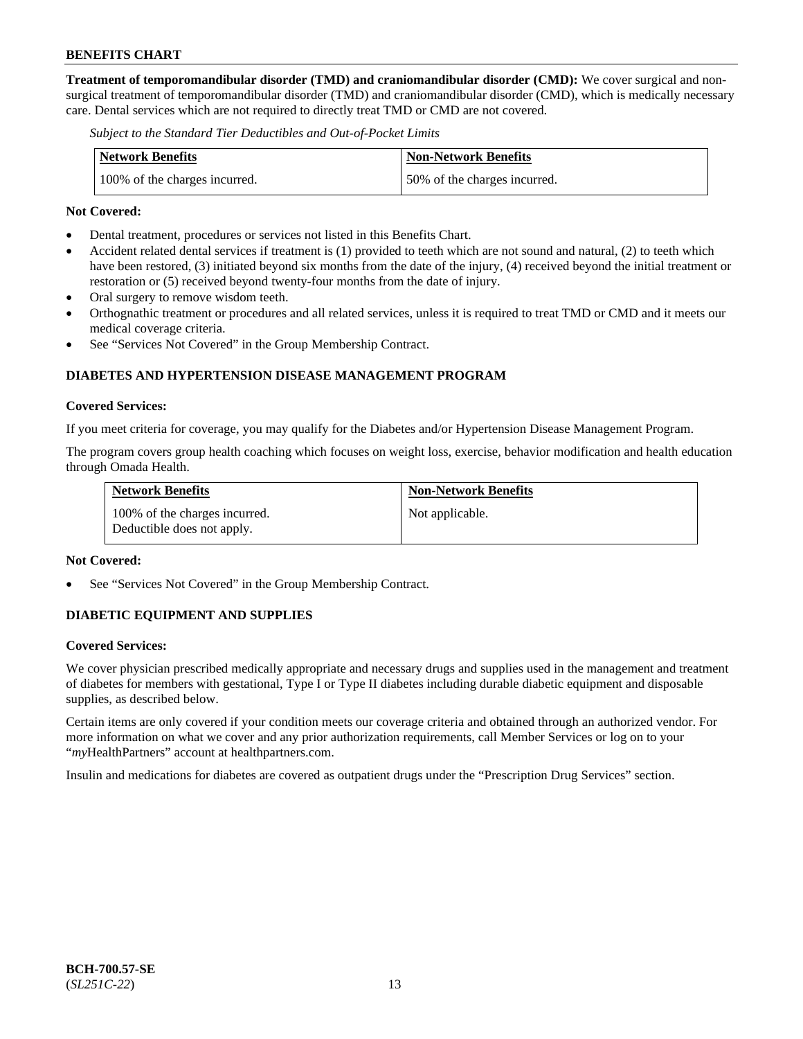**Treatment of temporomandibular disorder (TMD) and craniomandibular disorder (CMD):** We cover surgical and nonsurgical treatment of temporomandibular disorder (TMD) and craniomandibular disorder (CMD), which is medically necessary care. Dental services which are not required to directly treat TMD or CMD are not covered.

*Subject to the Standard Tier Deductibles and Out-of-Pocket Limits*

| <b>Network Benefits</b>       | <b>Non-Network Benefits</b>  |
|-------------------------------|------------------------------|
| 100% of the charges incurred. | 50% of the charges incurred. |

#### **Not Covered:**

- Dental treatment, procedures or services not listed in this Benefits Chart.
- Accident related dental services if treatment is (1) provided to teeth which are not sound and natural, (2) to teeth which have been restored, (3) initiated beyond six months from the date of the injury, (4) received beyond the initial treatment or restoration or (5) received beyond twenty-four months from the date of injury.
- Oral surgery to remove wisdom teeth.
- Orthognathic treatment or procedures and all related services, unless it is required to treat TMD or CMD and it meets our medical coverage criteria.
- See "Services Not Covered" in the Group Membership Contract.

### **DIABETES AND HYPERTENSION DISEASE MANAGEMENT PROGRAM**

#### **Covered Services:**

If you meet criteria for coverage, you may qualify for the Diabetes and/or Hypertension Disease Management Program.

The program covers group health coaching which focuses on weight loss, exercise, behavior modification and health education through Omada Health.

| <b>Network Benefits</b>                                     | <b>Non-Network Benefits</b> |
|-------------------------------------------------------------|-----------------------------|
| 100% of the charges incurred.<br>Deductible does not apply. | Not applicable.             |

#### **Not Covered:**

See "Services Not Covered" in the Group Membership Contract.

### **DIABETIC EQUIPMENT AND SUPPLIES**

#### **Covered Services:**

We cover physician prescribed medically appropriate and necessary drugs and supplies used in the management and treatment of diabetes for members with gestational, Type I or Type II diabetes including durable diabetic equipment and disposable supplies, as described below.

Certain items are only covered if your condition meets our coverage criteria and obtained through an authorized vendor. For more information on what we cover and any prior authorization requirements, call Member Services or log on to your "*my*HealthPartners" account at [healthpartners.com.](http://www.healthpartners.com/)

Insulin and medications for diabetes are covered as outpatient drugs under the "Prescription Drug Services" section.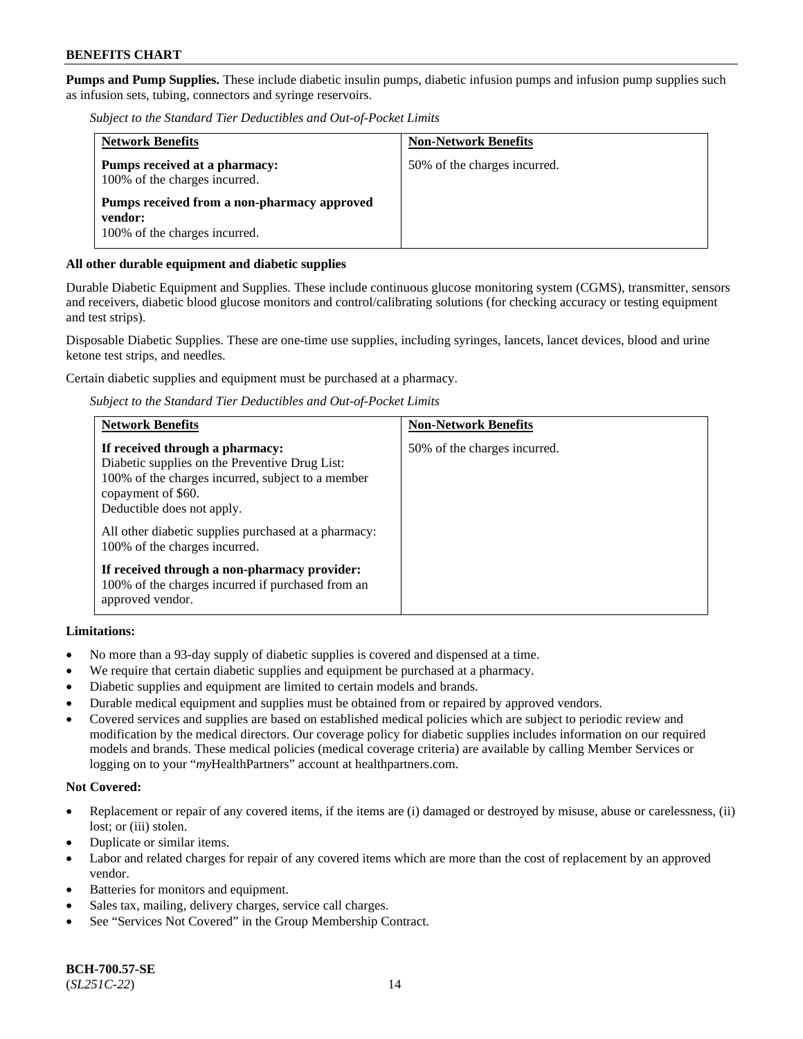**Pumps and Pump Supplies.** These include diabetic insulin pumps, diabetic infusion pumps and infusion pump supplies such as infusion sets, tubing, connectors and syringe reservoirs.

*Subject to the Standard Tier Deductibles and Out-of-Pocket Limits*

| <b>Network Benefits</b>                                                                 | <b>Non-Network Benefits</b>  |
|-----------------------------------------------------------------------------------------|------------------------------|
| Pumps received at a pharmacy:<br>100% of the charges incurred.                          | 50% of the charges incurred. |
| Pumps received from a non-pharmacy approved<br>vendor:<br>100% of the charges incurred. |                              |

### **All other durable equipment and diabetic supplies**

Durable Diabetic Equipment and Supplies. These include continuous glucose monitoring system (CGMS), transmitter, sensors and receivers, diabetic blood glucose monitors and control/calibrating solutions (for checking accuracy or testing equipment and test strips).

Disposable Diabetic Supplies. These are one-time use supplies, including syringes, lancets, lancet devices, blood and urine ketone test strips, and needles.

Certain diabetic supplies and equipment must be purchased at a pharmacy.

*Subject to the Standard Tier Deductibles and Out-of-Pocket Limits*

| <b>Network Benefits</b>                                                                                                                                                                                                                                                             | <b>Non-Network Benefits</b>  |
|-------------------------------------------------------------------------------------------------------------------------------------------------------------------------------------------------------------------------------------------------------------------------------------|------------------------------|
| If received through a pharmacy:<br>Diabetic supplies on the Preventive Drug List:<br>100% of the charges incurred, subject to a member<br>copayment of \$60.<br>Deductible does not apply.<br>All other diabetic supplies purchased at a pharmacy:<br>100% of the charges incurred. | 50% of the charges incurred. |
| If received through a non-pharmacy provider:<br>100% of the charges incurred if purchased from an<br>approved vendor.                                                                                                                                                               |                              |

### **Limitations:**

- No more than a 93-day supply of diabetic supplies is covered and dispensed at a time.
- We require that certain diabetic supplies and equipment be purchased at a pharmacy.
- Diabetic supplies and equipment are limited to certain models and brands.
- Durable medical equipment and supplies must be obtained from or repaired by approved vendors.
- Covered services and supplies are based on established medical policies which are subject to periodic review and modification by the medical directors. Our coverage policy for diabetic supplies includes information on our required models and brands. These medical policies (medical coverage criteria) are available by calling Member Services or logging on to your "*my*HealthPartners" account at [healthpartners.com.](http://www.healthpartners.com/)

### **Not Covered:**

- Replacement or repair of any covered items, if the items are (i) damaged or destroyed by misuse, abuse or carelessness, (ii) lost; or (iii) stolen.
- Duplicate or similar items.
- Labor and related charges for repair of any covered items which are more than the cost of replacement by an approved vendor.
- Batteries for monitors and equipment.
- Sales tax, mailing, delivery charges, service call charges.
- See "Services Not Covered" in the Group Membership Contract.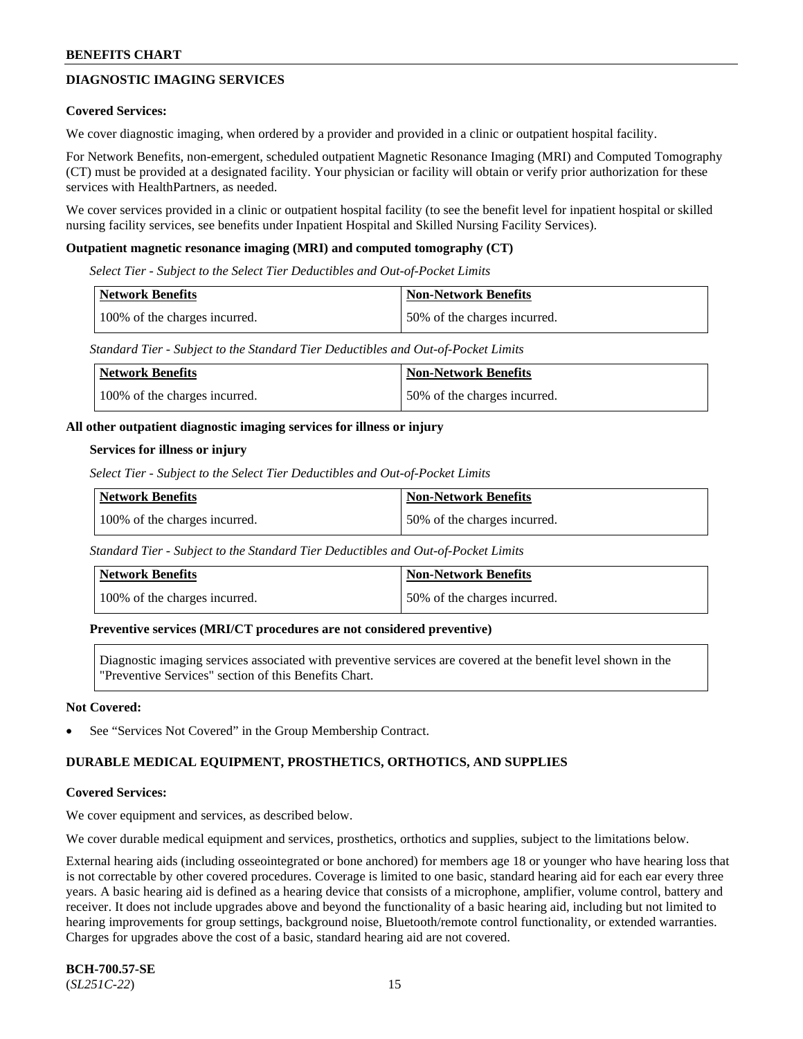# **DIAGNOSTIC IMAGING SERVICES**

#### **Covered Services:**

We cover diagnostic imaging, when ordered by a provider and provided in a clinic or outpatient hospital facility.

For Network Benefits, non-emergent, scheduled outpatient Magnetic Resonance Imaging (MRI) and Computed Tomography (CT) must be provided at a designated facility. Your physician or facility will obtain or verify prior authorization for these services with HealthPartners, as needed.

We cover services provided in a clinic or outpatient hospital facility (to see the benefit level for inpatient hospital or skilled nursing facility services, see benefits under Inpatient Hospital and Skilled Nursing Facility Services).

#### **Outpatient magnetic resonance imaging (MRI) and computed tomography (CT)**

*Select Tier - Subject to the Select Tier Deductibles and Out-of-Pocket Limits*

| Network Benefits              | <b>Non-Network Benefits</b>  |
|-------------------------------|------------------------------|
| 100% of the charges incurred. | 50% of the charges incurred. |

*Standard Tier - Subject to the Standard Tier Deductibles and Out-of-Pocket Limits*

| Network Benefits              | <b>Non-Network Benefits</b>  |
|-------------------------------|------------------------------|
| 100% of the charges incurred. | 50% of the charges incurred. |

#### **All other outpatient diagnostic imaging services for illness or injury**

#### **Services for illness or injury**

*Select Tier - Subject to the Select Tier Deductibles and Out-of-Pocket Limits*

| <b>Network Benefits</b>       | <b>Non-Network Benefits</b>  |
|-------------------------------|------------------------------|
| 100% of the charges incurred. | 50% of the charges incurred. |

*Standard Tier - Subject to the Standard Tier Deductibles and Out-of-Pocket Limits*

| <b>Network Benefits</b>       | <b>Non-Network Benefits</b>  |
|-------------------------------|------------------------------|
| 100% of the charges incurred. | 50% of the charges incurred. |

#### **Preventive services (MRI/CT procedures are not considered preventive)**

Diagnostic imaging services associated with preventive services are covered at the benefit level shown in the "Preventive Services" section of this Benefits Chart.

#### **Not Covered:**

See "Services Not Covered" in the Group Membership Contract.

### **DURABLE MEDICAL EQUIPMENT, PROSTHETICS, ORTHOTICS, AND SUPPLIES**

#### **Covered Services:**

We cover equipment and services, as described below.

We cover durable medical equipment and services, prosthetics, orthotics and supplies, subject to the limitations below.

External hearing aids (including osseointegrated or bone anchored) for members age 18 or younger who have hearing loss that is not correctable by other covered procedures. Coverage is limited to one basic, standard hearing aid for each ear every three years. A basic hearing aid is defined as a hearing device that consists of a microphone, amplifier, volume control, battery and receiver. It does not include upgrades above and beyond the functionality of a basic hearing aid, including but not limited to hearing improvements for group settings, background noise, Bluetooth/remote control functionality, or extended warranties. Charges for upgrades above the cost of a basic, standard hearing aid are not covered.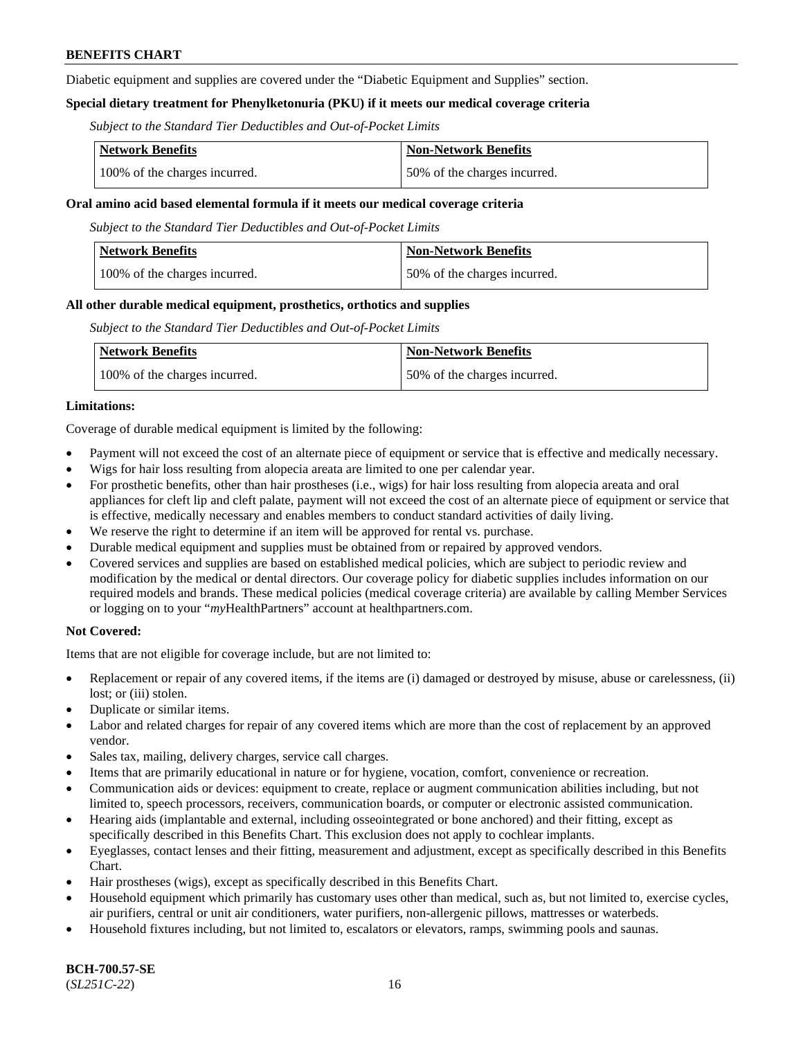Diabetic equipment and supplies are covered under the "Diabetic Equipment and Supplies" section.

### **Special dietary treatment for Phenylketonuria (PKU) if it meets our medical coverage criteria**

*Subject to the Standard Tier Deductibles and Out-of-Pocket Limits*

| <b>Network Benefits</b>       | <b>Non-Network Benefits</b>  |
|-------------------------------|------------------------------|
| 100% of the charges incurred. | 50% of the charges incurred. |

#### **Oral amino acid based elemental formula if it meets our medical coverage criteria**

*Subject to the Standard Tier Deductibles and Out-of-Pocket Limits*

| Network Benefits              | <b>Non-Network Benefits</b>  |
|-------------------------------|------------------------------|
| 100% of the charges incurred. | 50% of the charges incurred. |

#### **All other durable medical equipment, prosthetics, orthotics and supplies**

*Subject to the Standard Tier Deductibles and Out-of-Pocket Limits*

| <b>Network Benefits</b>       | Non-Network Benefits         |
|-------------------------------|------------------------------|
| 100% of the charges incurred. | 50% of the charges incurred. |

#### **Limitations:**

Coverage of durable medical equipment is limited by the following:

- Payment will not exceed the cost of an alternate piece of equipment or service that is effective and medically necessary.
- Wigs for hair loss resulting from alopecia areata are limited to one per calendar year.
- For prosthetic benefits, other than hair prostheses (i.e., wigs) for hair loss resulting from alopecia areata and oral appliances for cleft lip and cleft palate, payment will not exceed the cost of an alternate piece of equipment or service that is effective, medically necessary and enables members to conduct standard activities of daily living.
- We reserve the right to determine if an item will be approved for rental vs. purchase.
- Durable medical equipment and supplies must be obtained from or repaired by approved vendors.
- Covered services and supplies are based on established medical policies, which are subject to periodic review and modification by the medical or dental directors. Our coverage policy for diabetic supplies includes information on our required models and brands. These medical policies (medical coverage criteria) are available by calling Member Services or logging on to your "*my*HealthPartners" account a[t healthpartners.com.](https://www.healthpartners.com/hp/index.html)

### **Not Covered:**

Items that are not eligible for coverage include, but are not limited to:

- Replacement or repair of any covered items, if the items are (i) damaged or destroyed by misuse, abuse or carelessness, (ii) lost; or (iii) stolen.
- Duplicate or similar items.
- Labor and related charges for repair of any covered items which are more than the cost of replacement by an approved vendor.
- Sales tax, mailing, delivery charges, service call charges.
- Items that are primarily educational in nature or for hygiene, vocation, comfort, convenience or recreation.
- Communication aids or devices: equipment to create, replace or augment communication abilities including, but not limited to, speech processors, receivers, communication boards, or computer or electronic assisted communication.
- Hearing aids (implantable and external, including osseointegrated or bone anchored) and their fitting, except as specifically described in this Benefits Chart. This exclusion does not apply to cochlear implants.
- Eyeglasses, contact lenses and their fitting, measurement and adjustment, except as specifically described in this Benefits Chart.
- Hair prostheses (wigs), except as specifically described in this Benefits Chart.
- Household equipment which primarily has customary uses other than medical, such as, but not limited to, exercise cycles, air purifiers, central or unit air conditioners, water purifiers, non-allergenic pillows, mattresses or waterbeds.
- Household fixtures including, but not limited to, escalators or elevators, ramps, swimming pools and saunas.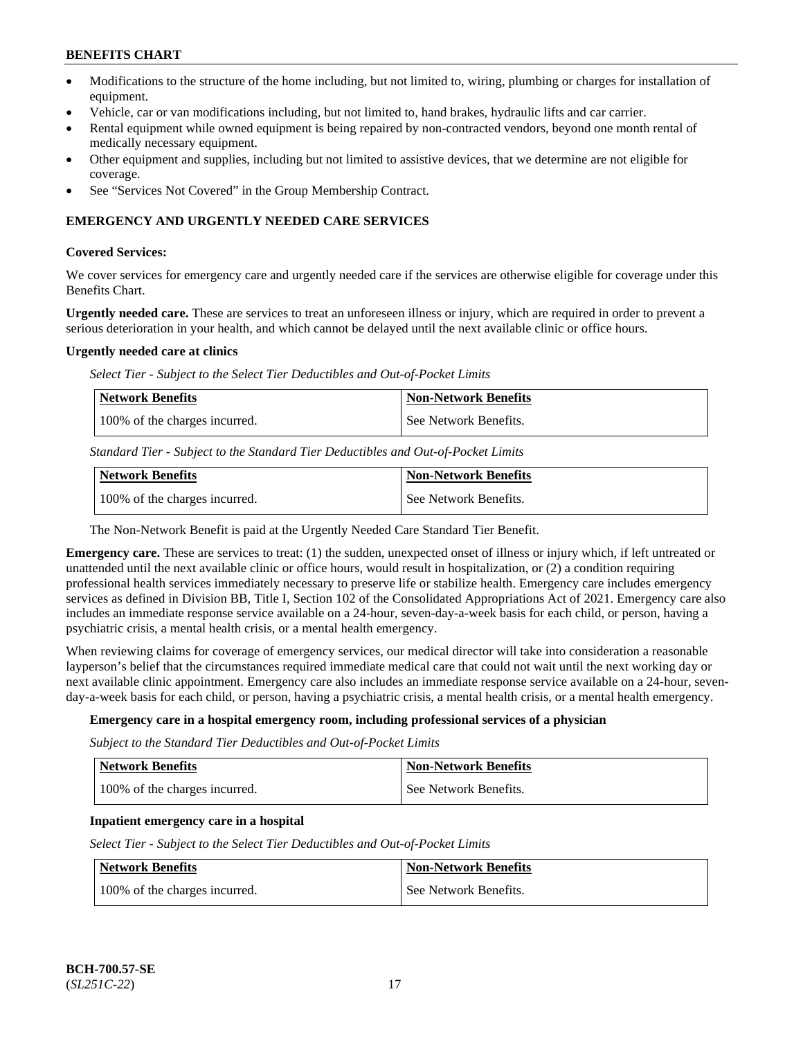- Modifications to the structure of the home including, but not limited to, wiring, plumbing or charges for installation of equipment.
- Vehicle, car or van modifications including, but not limited to, hand brakes, hydraulic lifts and car carrier.
- Rental equipment while owned equipment is being repaired by non-contracted vendors, beyond one month rental of medically necessary equipment.
- Other equipment and supplies, including but not limited to assistive devices, that we determine are not eligible for coverage.
- See "Services Not Covered" in the Group Membership Contract.

### **EMERGENCY AND URGENTLY NEEDED CARE SERVICES**

#### **Covered Services:**

We cover services for emergency care and urgently needed care if the services are otherwise eligible for coverage under this Benefits Chart.

**Urgently needed care.** These are services to treat an unforeseen illness or injury, which are required in order to prevent a serious deterioration in your health, and which cannot be delayed until the next available clinic or office hours.

#### **Urgently needed care at clinics**

*Select Tier - Subject to the Select Tier Deductibles and Out-of-Pocket Limits*

| Network Benefits              | <b>Non-Network Benefits</b> |
|-------------------------------|-----------------------------|
| 100% of the charges incurred. | l See Network Benefits.     |

*Standard Tier - Subject to the Standard Tier Deductibles and Out-of-Pocket Limits*

| Network Benefits              | <b>Non-Network Benefits</b> |
|-------------------------------|-----------------------------|
| 100% of the charges incurred. | See Network Benefits.       |

The Non-Network Benefit is paid at the Urgently Needed Care Standard Tier Benefit.

**Emergency care.** These are services to treat: (1) the sudden, unexpected onset of illness or injury which, if left untreated or unattended until the next available clinic or office hours, would result in hospitalization, or (2) a condition requiring professional health services immediately necessary to preserve life or stabilize health. Emergency care includes emergency services as defined in Division BB, Title I, Section 102 of the Consolidated Appropriations Act of 2021. Emergency care also includes an immediate response service available on a 24-hour, seven-day-a-week basis for each child, or person, having a psychiatric crisis, a mental health crisis, or a mental health emergency.

When reviewing claims for coverage of emergency services, our medical director will take into consideration a reasonable layperson's belief that the circumstances required immediate medical care that could not wait until the next working day or next available clinic appointment. Emergency care also includes an immediate response service available on a 24-hour, sevenday-a-week basis for each child, or person, having a psychiatric crisis, a mental health crisis, or a mental health emergency.

### **Emergency care in a hospital emergency room, including professional services of a physician**

*Subject to the Standard Tier Deductibles and Out-of-Pocket Limits*

| <b>Network Benefits</b>       | Non-Network Benefits  |
|-------------------------------|-----------------------|
| 100% of the charges incurred. | See Network Benefits. |

### **Inpatient emergency care in a hospital**

*Select Tier - Subject to the Select Tier Deductibles and Out-of-Pocket Limits*

| Network Benefits              | <b>Non-Network Benefits</b> |
|-------------------------------|-----------------------------|
| 100% of the charges incurred. | See Network Benefits.       |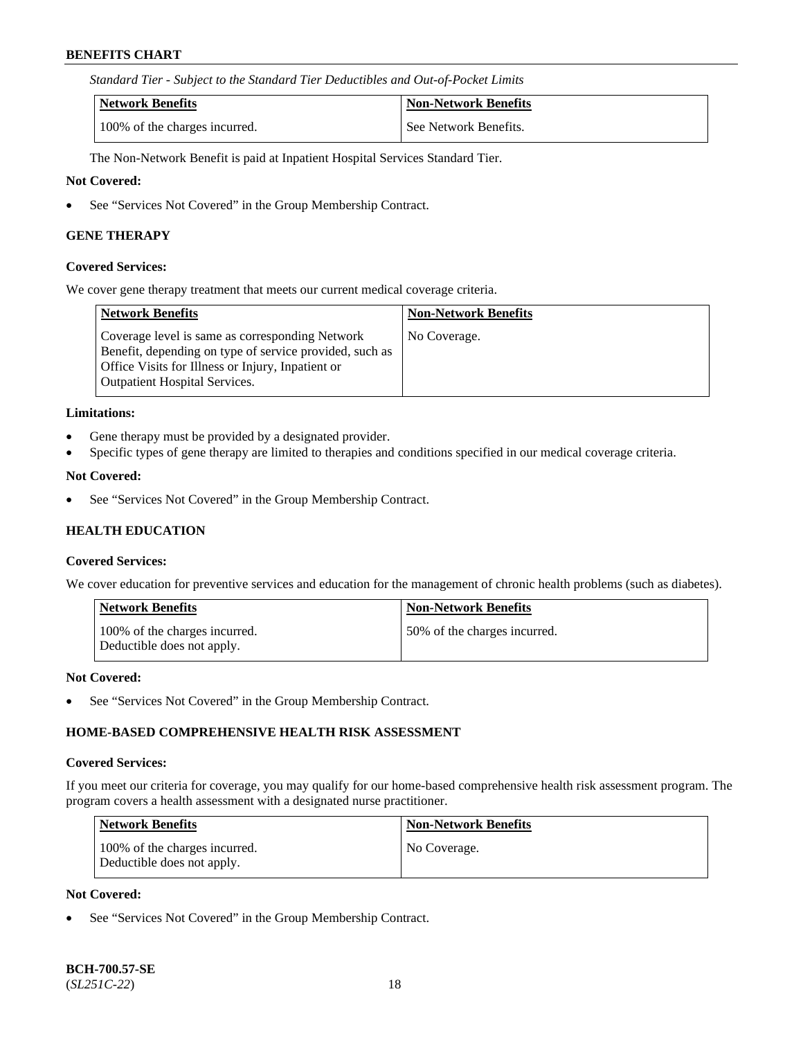*Standard Tier - Subject to the Standard Tier Deductibles and Out-of-Pocket Limits*

| Network Benefits              | <b>Non-Network Benefits</b> |
|-------------------------------|-----------------------------|
| 100% of the charges incurred. | See Network Benefits.       |

The Non-Network Benefit is paid at Inpatient Hospital Services Standard Tier.

#### **Not Covered:**

• See "Services Not Covered" in the Group Membership Contract.

#### **GENE THERAPY**

#### **Covered Services:**

We cover gene therapy treatment that meets our current medical coverage criteria.

| Network Benefits                                                                                                                                                                                        | <b>Non-Network Benefits</b> |
|---------------------------------------------------------------------------------------------------------------------------------------------------------------------------------------------------------|-----------------------------|
| Coverage level is same as corresponding Network<br>Benefit, depending on type of service provided, such as<br>Office Visits for Illness or Injury, Inpatient or<br><b>Outpatient Hospital Services.</b> | No Coverage.                |

#### **Limitations:**

- Gene therapy must be provided by a designated provider.
- Specific types of gene therapy are limited to therapies and conditions specified in our medical coverage criteria.

### **Not Covered:**

• See "Services Not Covered" in the Group Membership Contract.

### **HEALTH EDUCATION**

#### **Covered Services:**

We cover education for preventive services and education for the management of chronic health problems (such as diabetes).

| <b>Network Benefits</b>                                     | <b>Non-Network Benefits</b>  |
|-------------------------------------------------------------|------------------------------|
| 100% of the charges incurred.<br>Deductible does not apply. | 50% of the charges incurred. |

#### **Not Covered:**

See "Services Not Covered" in the Group Membership Contract.

### **HOME-BASED COMPREHENSIVE HEALTH RISK ASSESSMENT**

#### **Covered Services:**

If you meet our criteria for coverage, you may qualify for our home-based comprehensive health risk assessment program. The program covers a health assessment with a designated nurse practitioner.

| <b>Network Benefits</b>                                     | <b>Non-Network Benefits</b> |
|-------------------------------------------------------------|-----------------------------|
| 100% of the charges incurred.<br>Deductible does not apply. | No Coverage.                |

#### **Not Covered:**

See "Services Not Covered" in the Group Membership Contract.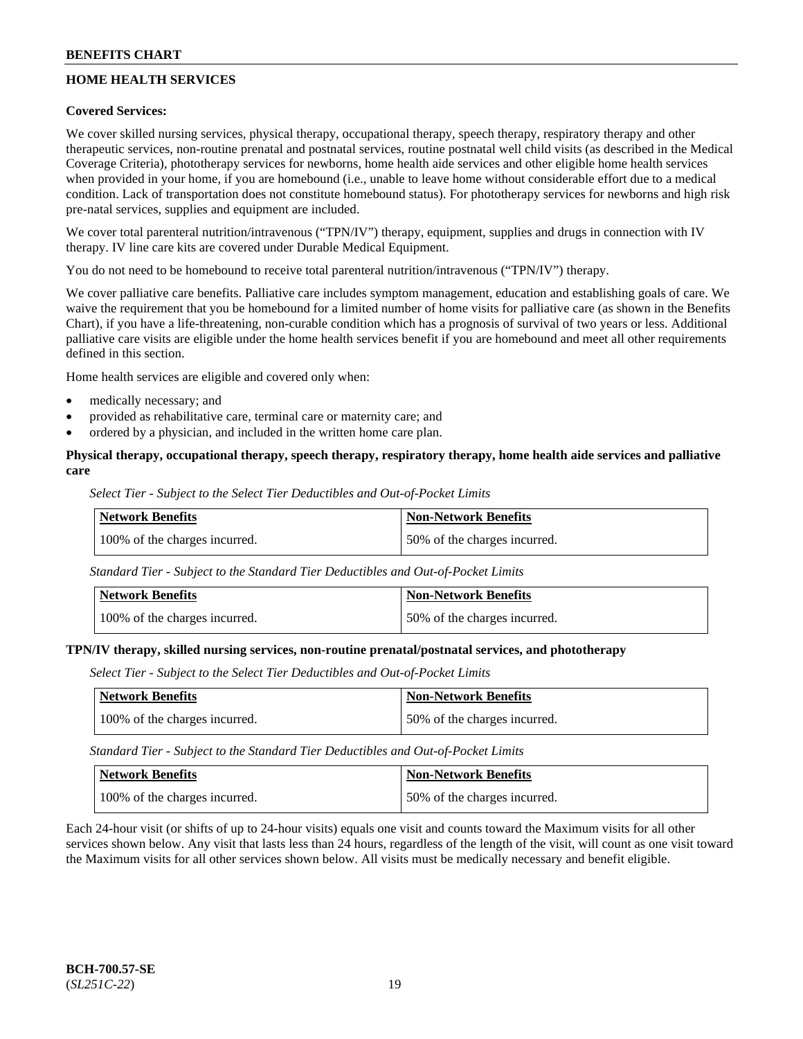# **HOME HEALTH SERVICES**

### **Covered Services:**

We cover skilled nursing services, physical therapy, occupational therapy, speech therapy, respiratory therapy and other therapeutic services, non-routine prenatal and postnatal services, routine postnatal well child visits (as described in the Medical Coverage Criteria), phototherapy services for newborns, home health aide services and other eligible home health services when provided in your home, if you are homebound (i.e., unable to leave home without considerable effort due to a medical condition. Lack of transportation does not constitute homebound status). For phototherapy services for newborns and high risk pre-natal services, supplies and equipment are included.

We cover total parenteral nutrition/intravenous ("TPN/IV") therapy, equipment, supplies and drugs in connection with IV therapy. IV line care kits are covered under Durable Medical Equipment.

You do not need to be homebound to receive total parenteral nutrition/intravenous ("TPN/IV") therapy.

We cover palliative care benefits. Palliative care includes symptom management, education and establishing goals of care. We waive the requirement that you be homebound for a limited number of home visits for palliative care (as shown in the Benefits Chart), if you have a life-threatening, non-curable condition which has a prognosis of survival of two years or less. Additional palliative care visits are eligible under the home health services benefit if you are homebound and meet all other requirements defined in this section.

Home health services are eligible and covered only when:

- medically necessary; and
- provided as rehabilitative care, terminal care or maternity care; and
- ordered by a physician, and included in the written home care plan.

### **Physical therapy, occupational therapy, speech therapy, respiratory therapy, home health aide services and palliative care**

*Select Tier - Subject to the Select Tier Deductibles and Out-of-Pocket Limits*

| Network Benefits              | <b>Non-Network Benefits</b>  |
|-------------------------------|------------------------------|
| 100% of the charges incurred. | 50% of the charges incurred. |

*Standard Tier - Subject to the Standard Tier Deductibles and Out-of-Pocket Limits*

| <b>Network Benefits</b>       | Non-Network Benefits         |
|-------------------------------|------------------------------|
| 100% of the charges incurred. | 50% of the charges incurred. |

#### **TPN/IV therapy, skilled nursing services, non-routine prenatal/postnatal services, and phototherapy**

*Select Tier - Subject to the Select Tier Deductibles and Out-of-Pocket Limits*

| Network Benefits              | <b>Non-Network Benefits</b>  |
|-------------------------------|------------------------------|
| 100% of the charges incurred. | 50% of the charges incurred. |

*Standard Tier - Subject to the Standard Tier Deductibles and Out-of-Pocket Limits*

| Network Benefits              | <b>Non-Network Benefits</b>  |
|-------------------------------|------------------------------|
| 100% of the charges incurred. | 50% of the charges incurred. |

Each 24-hour visit (or shifts of up to 24-hour visits) equals one visit and counts toward the Maximum visits for all other services shown below. Any visit that lasts less than 24 hours, regardless of the length of the visit, will count as one visit toward the Maximum visits for all other services shown below. All visits must be medically necessary and benefit eligible.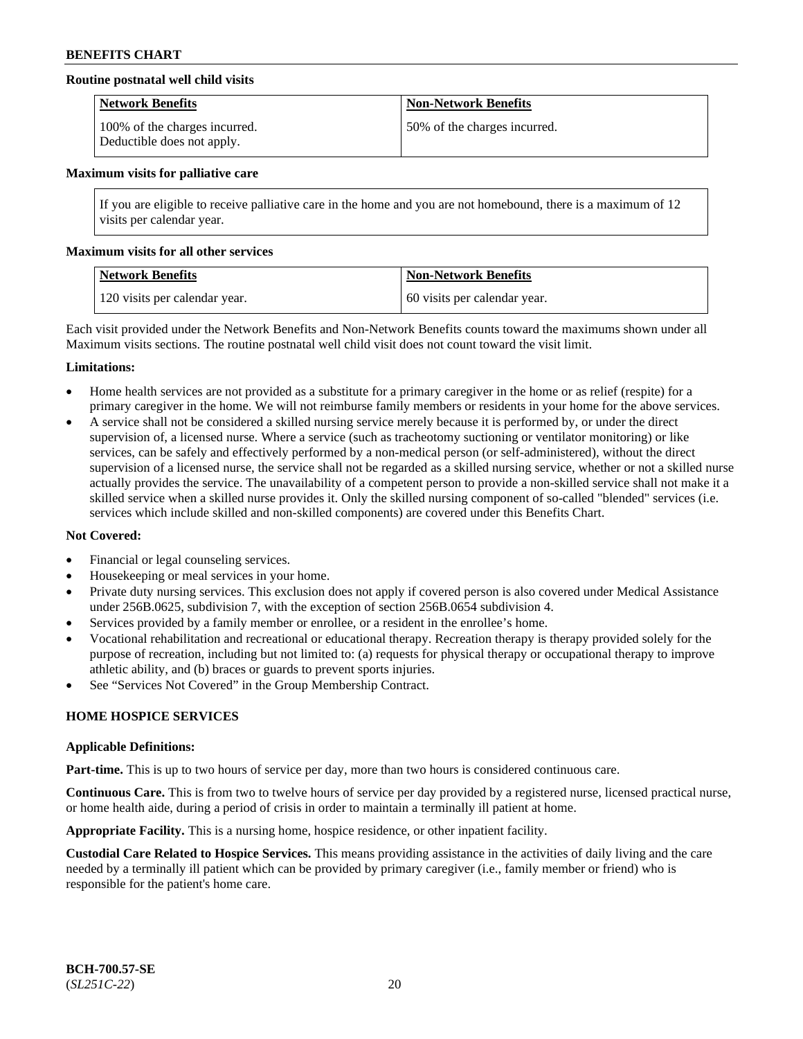### **Routine postnatal well child visits**

| <b>Network Benefits</b>                                     | <b>Non-Network Benefits</b>  |
|-------------------------------------------------------------|------------------------------|
| 100% of the charges incurred.<br>Deductible does not apply. | 50% of the charges incurred. |

#### **Maximum visits for palliative care**

If you are eligible to receive palliative care in the home and you are not homebound, there is a maximum of 12 visits per calendar year.

#### **Maximum visits for all other services**

| Network Benefits              | <b>Non-Network Benefits</b>  |
|-------------------------------|------------------------------|
| 120 visits per calendar year. | 60 visits per calendar year. |

Each visit provided under the Network Benefits and Non-Network Benefits counts toward the maximums shown under all Maximum visits sections. The routine postnatal well child visit does not count toward the visit limit.

#### **Limitations:**

- Home health services are not provided as a substitute for a primary caregiver in the home or as relief (respite) for a primary caregiver in the home. We will not reimburse family members or residents in your home for the above services.
- A service shall not be considered a skilled nursing service merely because it is performed by, or under the direct supervision of, a licensed nurse. Where a service (such as tracheotomy suctioning or ventilator monitoring) or like services, can be safely and effectively performed by a non-medical person (or self-administered), without the direct supervision of a licensed nurse, the service shall not be regarded as a skilled nursing service, whether or not a skilled nurse actually provides the service. The unavailability of a competent person to provide a non-skilled service shall not make it a skilled service when a skilled nurse provides it. Only the skilled nursing component of so-called "blended" services (i.e. services which include skilled and non-skilled components) are covered under this Benefits Chart.

### **Not Covered:**

- Financial or legal counseling services.
- Housekeeping or meal services in your home.
- Private duty nursing services. This exclusion does not apply if covered person is also covered under Medical Assistance under 256B.0625, subdivision 7, with the exception of section 256B.0654 subdivision 4.
- Services provided by a family member or enrollee, or a resident in the enrollee's home.
- Vocational rehabilitation and recreational or educational therapy. Recreation therapy is therapy provided solely for the purpose of recreation, including but not limited to: (a) requests for physical therapy or occupational therapy to improve athletic ability, and (b) braces or guards to prevent sports injuries.
- See "Services Not Covered" in the Group Membership Contract.

### **HOME HOSPICE SERVICES**

#### **Applicable Definitions:**

**Part-time.** This is up to two hours of service per day, more than two hours is considered continuous care.

**Continuous Care.** This is from two to twelve hours of service per day provided by a registered nurse, licensed practical nurse, or home health aide, during a period of crisis in order to maintain a terminally ill patient at home.

**Appropriate Facility.** This is a nursing home, hospice residence, or other inpatient facility.

**Custodial Care Related to Hospice Services.** This means providing assistance in the activities of daily living and the care needed by a terminally ill patient which can be provided by primary caregiver (i.e., family member or friend) who is responsible for the patient's home care.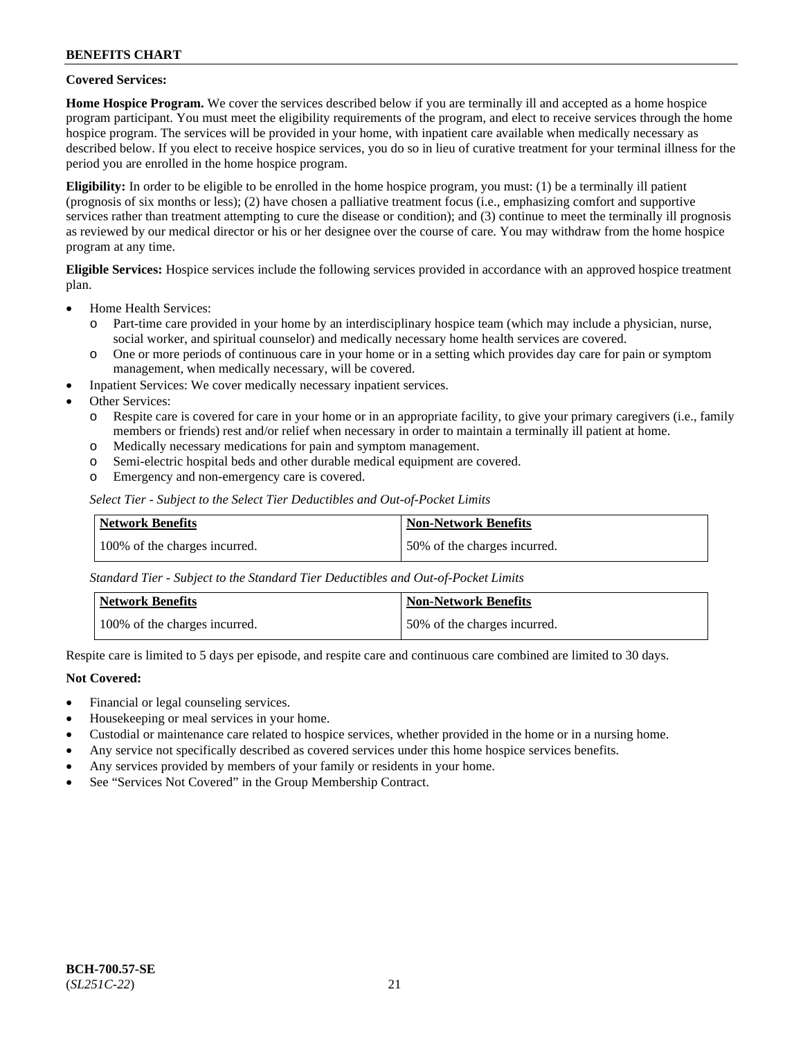### **Covered Services:**

**Home Hospice Program.** We cover the services described below if you are terminally ill and accepted as a home hospice program participant. You must meet the eligibility requirements of the program, and elect to receive services through the home hospice program. The services will be provided in your home, with inpatient care available when medically necessary as described below. If you elect to receive hospice services, you do so in lieu of curative treatment for your terminal illness for the period you are enrolled in the home hospice program.

**Eligibility:** In order to be eligible to be enrolled in the home hospice program, you must: (1) be a terminally ill patient (prognosis of six months or less); (2) have chosen a palliative treatment focus (i.e., emphasizing comfort and supportive services rather than treatment attempting to cure the disease or condition); and (3) continue to meet the terminally ill prognosis as reviewed by our medical director or his or her designee over the course of care. You may withdraw from the home hospice program at any time.

**Eligible Services:** Hospice services include the following services provided in accordance with an approved hospice treatment plan.

- Home Health Services:
	- o Part-time care provided in your home by an interdisciplinary hospice team (which may include a physician, nurse, social worker, and spiritual counselor) and medically necessary home health services are covered.
	- o One or more periods of continuous care in your home or in a setting which provides day care for pain or symptom management, when medically necessary, will be covered.
	- Inpatient Services: We cover medically necessary inpatient services.
- Other Services:
	- o Respite care is covered for care in your home or in an appropriate facility, to give your primary caregivers (i.e., family members or friends) rest and/or relief when necessary in order to maintain a terminally ill patient at home.
	- o Medically necessary medications for pain and symptom management.
	- Semi-electric hospital beds and other durable medical equipment are covered.
	- o Emergency and non-emergency care is covered.

*Select Tier - Subject to the Select Tier Deductibles and Out-of-Pocket Limits*

| Network Benefits              | Non-Network Benefits         |
|-------------------------------|------------------------------|
| 100% of the charges incurred. | 50% of the charges incurred. |

*Standard Tier - Subject to the Standard Tier Deductibles and Out-of-Pocket Limits*

| Network Benefits              | <b>Non-Network Benefits</b>  |
|-------------------------------|------------------------------|
| 100% of the charges incurred. | 50% of the charges incurred. |

Respite care is limited to 5 days per episode, and respite care and continuous care combined are limited to 30 days.

### **Not Covered:**

- Financial or legal counseling services.
- Housekeeping or meal services in your home.
- Custodial or maintenance care related to hospice services, whether provided in the home or in a nursing home.
- Any service not specifically described as covered services under this home hospice services benefits.
- Any services provided by members of your family or residents in your home.
- See "Services Not Covered" in the Group Membership Contract.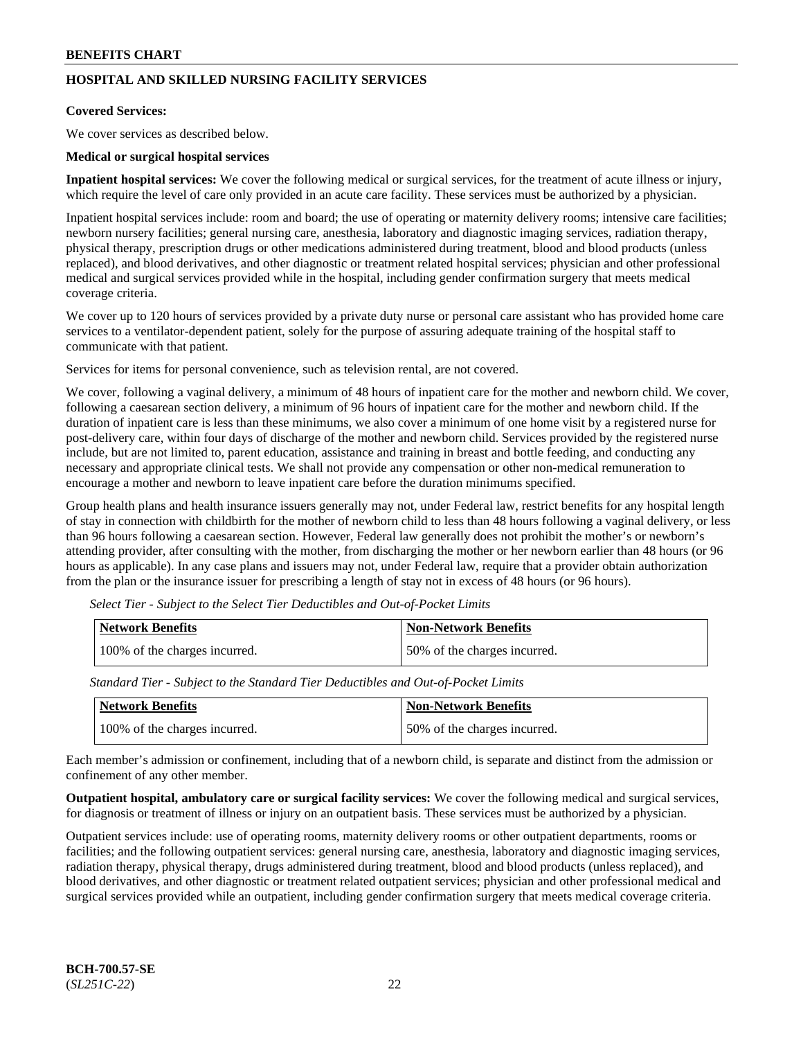# **HOSPITAL AND SKILLED NURSING FACILITY SERVICES**

#### **Covered Services:**

We cover services as described below.

#### **Medical or surgical hospital services**

**Inpatient hospital services:** We cover the following medical or surgical services, for the treatment of acute illness or injury, which require the level of care only provided in an acute care facility. These services must be authorized by a physician.

Inpatient hospital services include: room and board; the use of operating or maternity delivery rooms; intensive care facilities; newborn nursery facilities; general nursing care, anesthesia, laboratory and diagnostic imaging services, radiation therapy, physical therapy, prescription drugs or other medications administered during treatment, blood and blood products (unless replaced), and blood derivatives, and other diagnostic or treatment related hospital services; physician and other professional medical and surgical services provided while in the hospital, including gender confirmation surgery that meets medical coverage criteria.

We cover up to 120 hours of services provided by a private duty nurse or personal care assistant who has provided home care services to a ventilator-dependent patient, solely for the purpose of assuring adequate training of the hospital staff to communicate with that patient.

Services for items for personal convenience, such as television rental, are not covered.

We cover, following a vaginal delivery, a minimum of 48 hours of inpatient care for the mother and newborn child. We cover, following a caesarean section delivery, a minimum of 96 hours of inpatient care for the mother and newborn child. If the duration of inpatient care is less than these minimums, we also cover a minimum of one home visit by a registered nurse for post-delivery care, within four days of discharge of the mother and newborn child. Services provided by the registered nurse include, but are not limited to, parent education, assistance and training in breast and bottle feeding, and conducting any necessary and appropriate clinical tests. We shall not provide any compensation or other non-medical remuneration to encourage a mother and newborn to leave inpatient care before the duration minimums specified.

Group health plans and health insurance issuers generally may not, under Federal law, restrict benefits for any hospital length of stay in connection with childbirth for the mother of newborn child to less than 48 hours following a vaginal delivery, or less than 96 hours following a caesarean section. However, Federal law generally does not prohibit the mother's or newborn's attending provider, after consulting with the mother, from discharging the mother or her newborn earlier than 48 hours (or 96 hours as applicable). In any case plans and issuers may not, under Federal law, require that a provider obtain authorization from the plan or the insurance issuer for prescribing a length of stay not in excess of 48 hours (or 96 hours).

| Network Benefits              | <b>Non-Network Benefits</b>  |
|-------------------------------|------------------------------|
| 100% of the charges incurred. | 50% of the charges incurred. |

*Select Tier - Subject to the Select Tier Deductibles and Out-of-Pocket Limits*

*Standard Tier - Subject to the Standard Tier Deductibles and Out-of-Pocket Limits*

| Network Benefits              | 'Non-Network Benefits        |
|-------------------------------|------------------------------|
| 100% of the charges incurred. | 50% of the charges incurred. |

Each member's admission or confinement, including that of a newborn child, is separate and distinct from the admission or confinement of any other member.

**Outpatient hospital, ambulatory care or surgical facility services:** We cover the following medical and surgical services, for diagnosis or treatment of illness or injury on an outpatient basis. These services must be authorized by a physician.

Outpatient services include: use of operating rooms, maternity delivery rooms or other outpatient departments, rooms or facilities; and the following outpatient services: general nursing care, anesthesia, laboratory and diagnostic imaging services, radiation therapy, physical therapy, drugs administered during treatment, blood and blood products (unless replaced), and blood derivatives, and other diagnostic or treatment related outpatient services; physician and other professional medical and surgical services provided while an outpatient, including gender confirmation surgery that meets medical coverage criteria.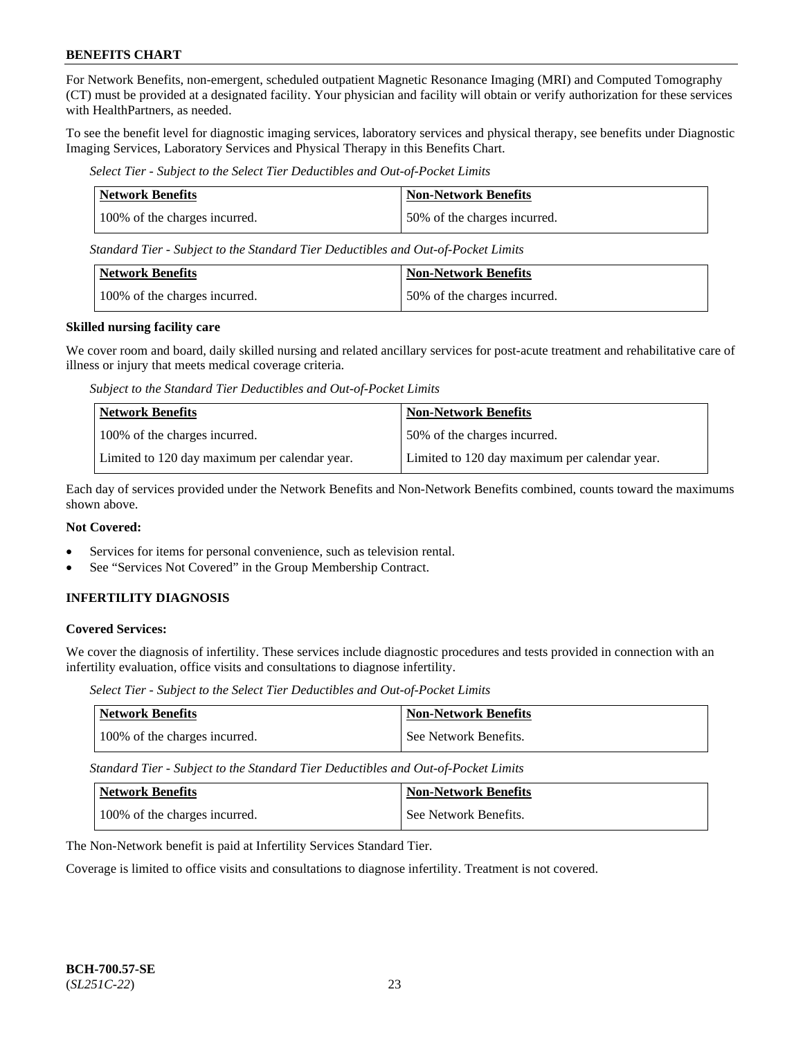For Network Benefits, non-emergent, scheduled outpatient Magnetic Resonance Imaging (MRI) and Computed Tomography (CT) must be provided at a designated facility. Your physician and facility will obtain or verify authorization for these services with HealthPartners, as needed.

To see the benefit level for diagnostic imaging services, laboratory services and physical therapy, see benefits under Diagnostic Imaging Services, Laboratory Services and Physical Therapy in this Benefits Chart.

*Select Tier - Subject to the Select Tier Deductibles and Out-of-Pocket Limits*

| <b>Network Benefits</b>       | <b>Non-Network Benefits</b>  |
|-------------------------------|------------------------------|
| 100% of the charges incurred. | 50% of the charges incurred. |

*Standard Tier - Subject to the Standard Tier Deductibles and Out-of-Pocket Limits*

| Network Benefits              | Non-Network Benefits         |
|-------------------------------|------------------------------|
| 100% of the charges incurred. | 50% of the charges incurred. |

#### **Skilled nursing facility care**

We cover room and board, daily skilled nursing and related ancillary services for post-acute treatment and rehabilitative care of illness or injury that meets medical coverage criteria.

*Subject to the Standard Tier Deductibles and Out-of-Pocket Limits*

| <b>Network Benefits</b>                       | <b>Non-Network Benefits</b>                   |
|-----------------------------------------------|-----------------------------------------------|
| 100% of the charges incurred.                 | 50% of the charges incurred.                  |
| Limited to 120 day maximum per calendar year. | Limited to 120 day maximum per calendar year. |

Each day of services provided under the Network Benefits and Non-Network Benefits combined, counts toward the maximums shown above.

### **Not Covered:**

- Services for items for personal convenience, such as television rental.
- See "Services Not Covered" in the Group Membership Contract.

### **INFERTILITY DIAGNOSIS**

#### **Covered Services:**

We cover the diagnosis of infertility. These services include diagnostic procedures and tests provided in connection with an infertility evaluation, office visits and consultations to diagnose infertility.

*Select Tier - Subject to the Select Tier Deductibles and Out-of-Pocket Limits*

| <b>Network Benefits</b>       | <b>Non-Network Benefits</b> |
|-------------------------------|-----------------------------|
| 100% of the charges incurred. | See Network Benefits.       |

*Standard Tier - Subject to the Standard Tier Deductibles and Out-of-Pocket Limits*

| Network Benefits              | <b>Non-Network Benefits</b> |
|-------------------------------|-----------------------------|
| 100% of the charges incurred. | See Network Benefits.       |

The Non-Network benefit is paid at Infertility Services Standard Tier.

Coverage is limited to office visits and consultations to diagnose infertility. Treatment is not covered.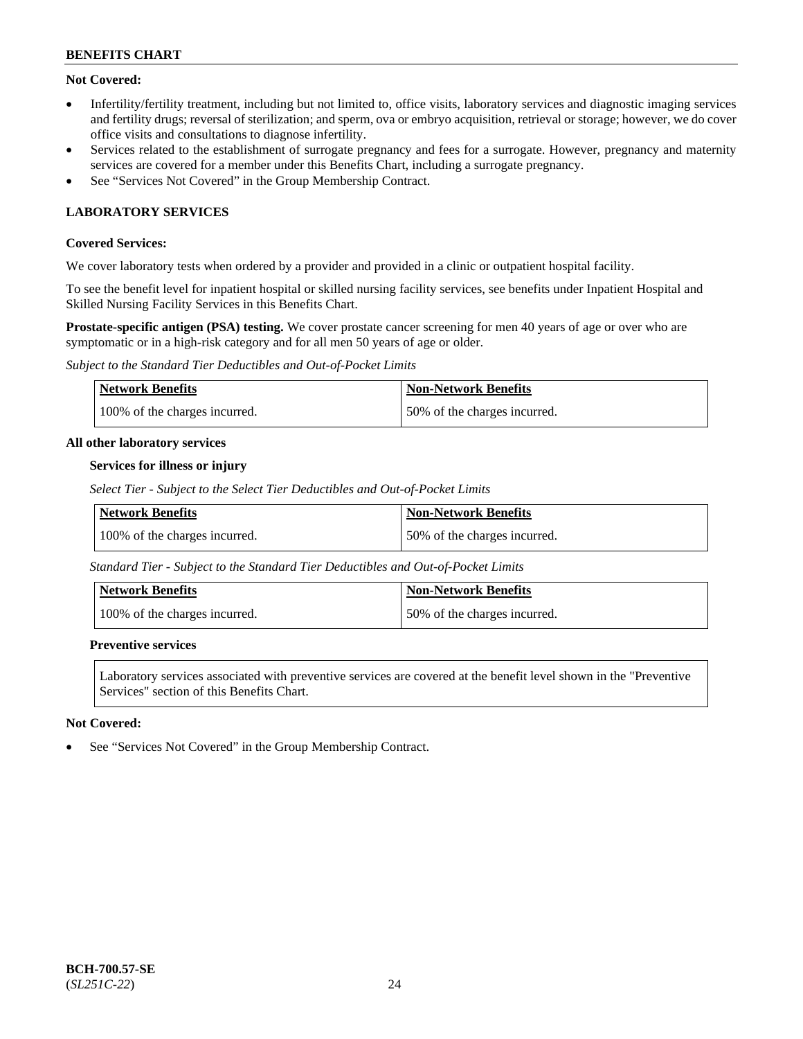# **Not Covered:**

- Infertility/fertility treatment, including but not limited to, office visits, laboratory services and diagnostic imaging services and fertility drugs; reversal of sterilization; and sperm, ova or embryo acquisition, retrieval or storage; however, we do cover office visits and consultations to diagnose infertility.
- Services related to the establishment of surrogate pregnancy and fees for a surrogate. However, pregnancy and maternity services are covered for a member under this Benefits Chart, including a surrogate pregnancy.
- See "Services Not Covered" in the Group Membership Contract.

# **LABORATORY SERVICES**

### **Covered Services:**

We cover laboratory tests when ordered by a provider and provided in a clinic or outpatient hospital facility.

To see the benefit level for inpatient hospital or skilled nursing facility services, see benefits under Inpatient Hospital and Skilled Nursing Facility Services in this Benefits Chart.

**Prostate-specific antigen (PSA) testing.** We cover prostate cancer screening for men 40 years of age or over who are symptomatic or in a high-risk category and for all men 50 years of age or older.

*Subject to the Standard Tier Deductibles and Out-of-Pocket Limits*

| <b>Network Benefits</b>       | <b>Non-Network Benefits</b>  |
|-------------------------------|------------------------------|
| 100% of the charges incurred. | 50% of the charges incurred. |

#### **All other laboratory services**

#### **Services for illness or injury**

*Select Tier - Subject to the Select Tier Deductibles and Out-of-Pocket Limits*

| <b>Network Benefits</b>       | <b>Non-Network Benefits</b>  |
|-------------------------------|------------------------------|
| 100% of the charges incurred. | 50% of the charges incurred. |

*Standard Tier - Subject to the Standard Tier Deductibles and Out-of-Pocket Limits*

| Network Benefits              | <b>Non-Network Benefits</b>  |
|-------------------------------|------------------------------|
| 100% of the charges incurred. | 50% of the charges incurred. |

#### **Preventive services**

Laboratory services associated with preventive services are covered at the benefit level shown in the "Preventive Services" section of this Benefits Chart.

### **Not Covered:**

See "Services Not Covered" in the Group Membership Contract.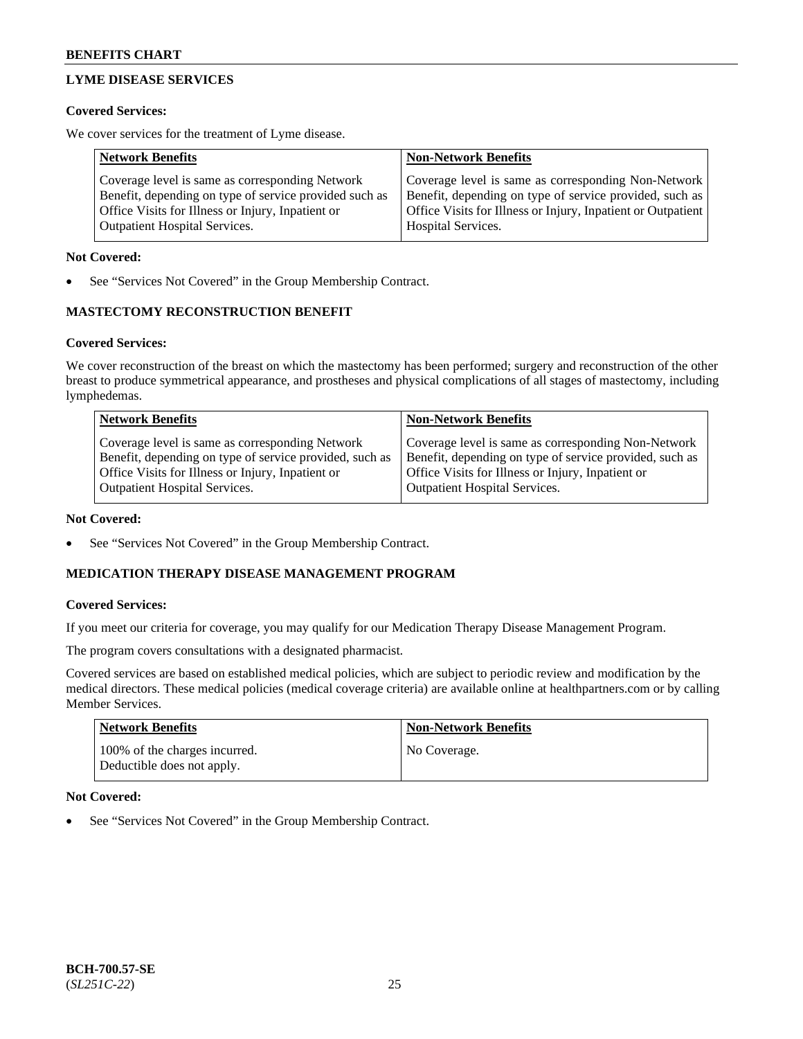# **LYME DISEASE SERVICES**

### **Covered Services:**

We cover services for the treatment of Lyme disease.

| <b>Network Benefits</b>                                | <b>Non-Network Benefits</b>                                  |
|--------------------------------------------------------|--------------------------------------------------------------|
| Coverage level is same as corresponding Network        | Coverage level is same as corresponding Non-Network          |
| Benefit, depending on type of service provided such as | Benefit, depending on type of service provided, such as      |
| Office Visits for Illness or Injury, Inpatient or      | Office Visits for Illness or Injury, Inpatient or Outpatient |
| <b>Outpatient Hospital Services.</b>                   | Hospital Services.                                           |

### **Not Covered:**

See "Services Not Covered" in the Group Membership Contract.

# **MASTECTOMY RECONSTRUCTION BENEFIT**

# **Covered Services:**

We cover reconstruction of the breast on which the mastectomy has been performed; surgery and reconstruction of the other breast to produce symmetrical appearance, and prostheses and physical complications of all stages of mastectomy, including lymphedemas.

| <b>Network Benefits</b>                                 | <b>Non-Network Benefits</b>                             |
|---------------------------------------------------------|---------------------------------------------------------|
| Coverage level is same as corresponding Network         | Coverage level is same as corresponding Non-Network     |
| Benefit, depending on type of service provided, such as | Benefit, depending on type of service provided, such as |
| Office Visits for Illness or Injury, Inpatient or       | Office Visits for Illness or Injury, Inpatient or       |
| <b>Outpatient Hospital Services.</b>                    | <b>Outpatient Hospital Services.</b>                    |

### **Not Covered:**

See "Services Not Covered" in the Group Membership Contract.

# **MEDICATION THERAPY DISEASE MANAGEMENT PROGRAM**

### **Covered Services:**

If you meet our criteria for coverage, you may qualify for our Medication Therapy Disease Management Program.

The program covers consultations with a designated pharmacist.

Covered services are based on established medical policies, which are subject to periodic review and modification by the medical directors. These medical policies (medical coverage criteria) are available online at [healthpartners.com](https://www.healthpartners.com/hp/index.html) or by calling Member Services.

| Network Benefits                                            | <b>Non-Network Benefits</b> |
|-------------------------------------------------------------|-----------------------------|
| 100% of the charges incurred.<br>Deductible does not apply. | No Coverage.                |

### **Not Covered:**

See "Services Not Covered" in the Group Membership Contract.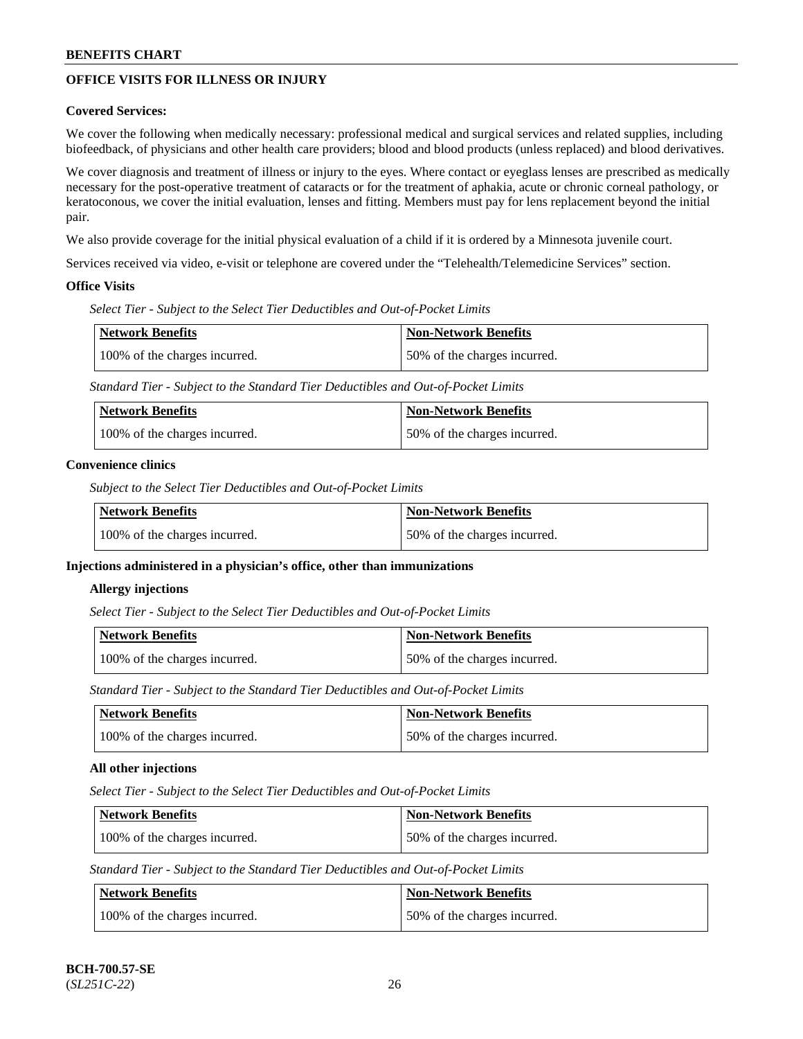# **OFFICE VISITS FOR ILLNESS OR INJURY**

### **Covered Services:**

We cover the following when medically necessary: professional medical and surgical services and related supplies, including biofeedback, of physicians and other health care providers; blood and blood products (unless replaced) and blood derivatives.

We cover diagnosis and treatment of illness or injury to the eyes. Where contact or eyeglass lenses are prescribed as medically necessary for the post-operative treatment of cataracts or for the treatment of aphakia, acute or chronic corneal pathology, or keratoconous, we cover the initial evaluation, lenses and fitting. Members must pay for lens replacement beyond the initial pair.

We also provide coverage for the initial physical evaluation of a child if it is ordered by a Minnesota juvenile court.

Services received via video, e-visit or telephone are covered under the "Telehealth/Telemedicine Services" section.

#### **Office Visits**

*Select Tier - Subject to the Select Tier Deductibles and Out-of-Pocket Limits*

| <b>Network Benefits</b>       | Non-Network Benefits         |
|-------------------------------|------------------------------|
| 100% of the charges incurred. | 50% of the charges incurred. |

*Standard Tier - Subject to the Standard Tier Deductibles and Out-of-Pocket Limits*

| Network Benefits              | <b>Non-Network Benefits</b>  |
|-------------------------------|------------------------------|
| 100% of the charges incurred. | 50% of the charges incurred. |

#### **Convenience clinics**

*Subject to the Select Tier Deductibles and Out-of-Pocket Limits*

| Network Benefits              | <b>Non-Network Benefits</b>  |
|-------------------------------|------------------------------|
| 100% of the charges incurred. | 50% of the charges incurred. |

### **Injections administered in a physician's office, other than immunizations**

#### **Allergy injections**

*Select Tier - Subject to the Select Tier Deductibles and Out-of-Pocket Limits*

| Network Benefits              | <b>Non-Network Benefits</b>  |
|-------------------------------|------------------------------|
| 100% of the charges incurred. | 50% of the charges incurred. |

*Standard Tier - Subject to the Standard Tier Deductibles and Out-of-Pocket Limits*

| Network Benefits              | Non-Network Benefits         |
|-------------------------------|------------------------------|
| 100% of the charges incurred. | 50% of the charges incurred. |

### **All other injections**

*Select Tier - Subject to the Select Tier Deductibles and Out-of-Pocket Limits*

| Network Benefits              | Non-Network Benefits         |
|-------------------------------|------------------------------|
| 100% of the charges incurred. | 50% of the charges incurred. |

*Standard Tier - Subject to the Standard Tier Deductibles and Out-of-Pocket Limits*

| Network Benefits              | <b>Non-Network Benefits</b>  |
|-------------------------------|------------------------------|
| 100% of the charges incurred. | 50% of the charges incurred. |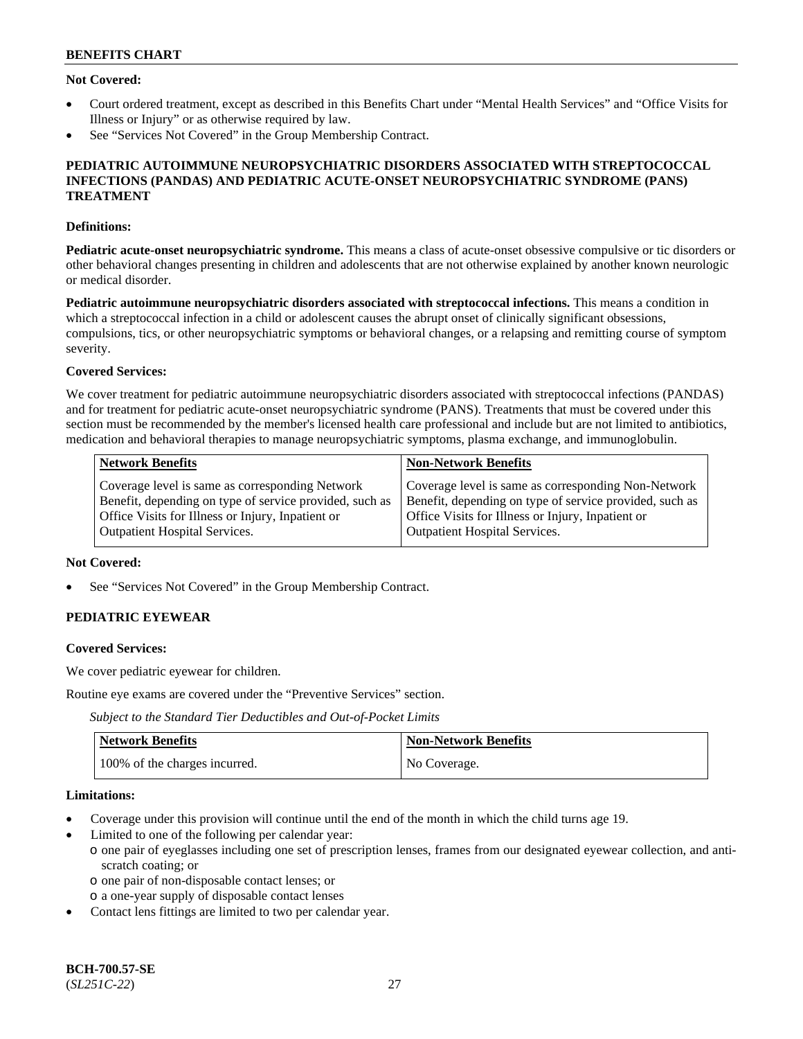### **Not Covered:**

- Court ordered treatment, except as described in this Benefits Chart under "Mental Health Services" and "Office Visits for Illness or Injury" or as otherwise required by law.
- See "Services Not Covered" in the Group Membership Contract.

#### **PEDIATRIC AUTOIMMUNE NEUROPSYCHIATRIC DISORDERS ASSOCIATED WITH STREPTOCOCCAL INFECTIONS (PANDAS) AND PEDIATRIC ACUTE-ONSET NEUROPSYCHIATRIC SYNDROME (PANS) TREATMENT**

#### **Definitions:**

**Pediatric acute-onset neuropsychiatric syndrome.** This means a class of acute-onset obsessive compulsive or tic disorders or other behavioral changes presenting in children and adolescents that are not otherwise explained by another known neurologic or medical disorder.

**Pediatric autoimmune neuropsychiatric disorders associated with streptococcal infections.** This means a condition in which a streptococcal infection in a child or adolescent causes the abrupt onset of clinically significant obsessions, compulsions, tics, or other neuropsychiatric symptoms or behavioral changes, or a relapsing and remitting course of symptom severity.

#### **Covered Services:**

We cover treatment for pediatric autoimmune neuropsychiatric disorders associated with streptococcal infections (PANDAS) and for treatment for pediatric acute-onset neuropsychiatric syndrome (PANS). Treatments that must be covered under this section must be recommended by the member's licensed health care professional and include but are not limited to antibiotics, medication and behavioral therapies to manage neuropsychiatric symptoms, plasma exchange, and immunoglobulin.

| <b>Network Benefits</b>                                 | <b>Non-Network Benefits</b>                             |
|---------------------------------------------------------|---------------------------------------------------------|
| Coverage level is same as corresponding Network         | Coverage level is same as corresponding Non-Network     |
| Benefit, depending on type of service provided, such as | Benefit, depending on type of service provided, such as |
| Office Visits for Illness or Injury, Inpatient or       | Office Visits for Illness or Injury, Inpatient or       |
| <b>Outpatient Hospital Services.</b>                    | <b>Outpatient Hospital Services.</b>                    |

#### **Not Covered:**

See "Services Not Covered" in the Group Membership Contract.

# **PEDIATRIC EYEWEAR**

#### **Covered Services:**

We cover pediatric eyewear for children.

Routine eye exams are covered under the "Preventive Services" section.

*Subject to the Standard Tier Deductibles and Out-of-Pocket Limits*

| Network Benefits              | <b>Non-Network Benefits</b> |
|-------------------------------|-----------------------------|
| 100% of the charges incurred. | No Coverage.                |

#### **Limitations:**

- Coverage under this provision will continue until the end of the month in which the child turns age 19.
- Limited to one of the following per calendar year:
- o one pair of eyeglasses including one set of prescription lenses, frames from our designated eyewear collection, and antiscratch coating; or
	- o one pair of non-disposable contact lenses; or
	- o a one-year supply of disposable contact lenses
- Contact lens fittings are limited to two per calendar year.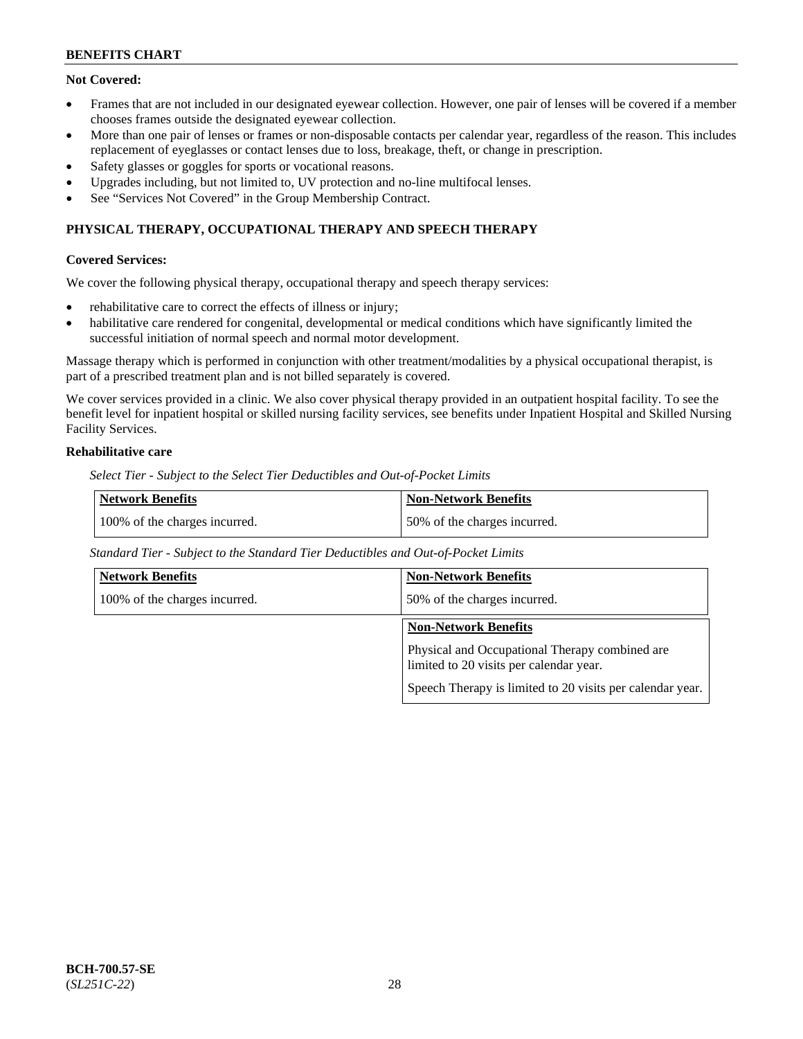### **Not Covered:**

- Frames that are not included in our designated eyewear collection. However, one pair of lenses will be covered if a member chooses frames outside the designated eyewear collection.
- More than one pair of lenses or frames or non-disposable contacts per calendar year, regardless of the reason. This includes replacement of eyeglasses or contact lenses due to loss, breakage, theft, or change in prescription.
- Safety glasses or goggles for sports or vocational reasons.
- Upgrades including, but not limited to, UV protection and no-line multifocal lenses.
- See "Services Not Covered" in the Group Membership Contract.

# **PHYSICAL THERAPY, OCCUPATIONAL THERAPY AND SPEECH THERAPY**

#### **Covered Services:**

We cover the following physical therapy, occupational therapy and speech therapy services:

- rehabilitative care to correct the effects of illness or injury;
- habilitative care rendered for congenital, developmental or medical conditions which have significantly limited the successful initiation of normal speech and normal motor development.

Massage therapy which is performed in conjunction with other treatment/modalities by a physical occupational therapist, is part of a prescribed treatment plan and is not billed separately is covered.

We cover services provided in a clinic. We also cover physical therapy provided in an outpatient hospital facility. To see the benefit level for inpatient hospital or skilled nursing facility services, see benefits under Inpatient Hospital and Skilled Nursing Facility Services.

# **Rehabilitative care**

*Select Tier - Subject to the Select Tier Deductibles and Out-of-Pocket Limits*

| <b>Network Benefits</b>       | <b>Non-Network Benefits</b>  |
|-------------------------------|------------------------------|
| 100% of the charges incurred. | 50% of the charges incurred. |

*Standard Tier - Subject to the Standard Tier Deductibles and Out-of-Pocket Limits*

| <b>Network Benefits</b>       | <b>Non-Network Benefits</b>                                                               |
|-------------------------------|-------------------------------------------------------------------------------------------|
| 100% of the charges incurred. | 50% of the charges incurred.                                                              |
|                               | <b>Non-Network Benefits</b>                                                               |
|                               | Physical and Occupational Therapy combined are<br>limited to 20 visits per calendar year. |
|                               | Speech Therapy is limited to 20 visits per calendar year.                                 |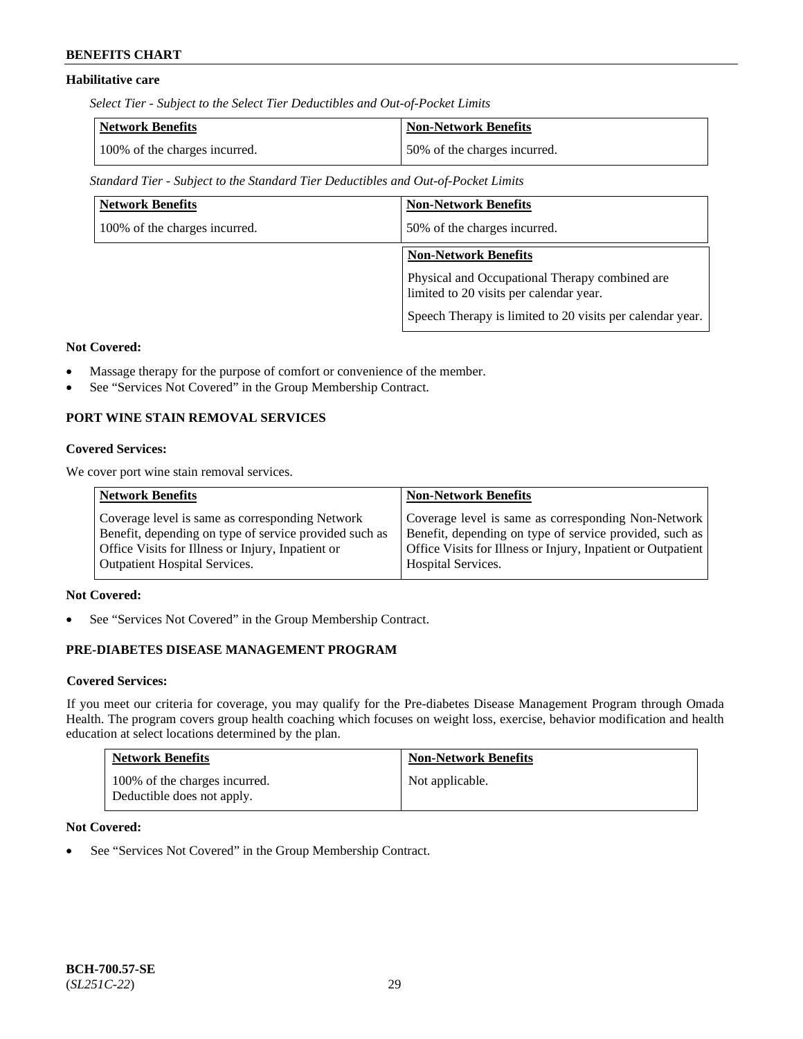# **Habilitative care**

*Select Tier - Subject to the Select Tier Deductibles and Out-of-Pocket Limits*

| Network Benefits              | <b>Non-Network Benefits</b>  |
|-------------------------------|------------------------------|
| 100% of the charges incurred. | 50% of the charges incurred. |

*Standard Tier - Subject to the Standard Tier Deductibles and Out-of-Pocket Limits*

| <b>Network Benefits</b>       | <b>Non-Network Benefits</b>                                                               |
|-------------------------------|-------------------------------------------------------------------------------------------|
| 100% of the charges incurred. | 50% of the charges incurred.                                                              |
|                               | <b>Non-Network Benefits</b>                                                               |
|                               | Physical and Occupational Therapy combined are<br>limited to 20 visits per calendar year. |
|                               | Speech Therapy is limited to 20 visits per calendar year.                                 |

### **Not Covered:**

- Massage therapy for the purpose of comfort or convenience of the member.
- See "Services Not Covered" in the Group Membership Contract.

### **PORT WINE STAIN REMOVAL SERVICES**

#### **Covered Services:**

We cover port wine stain removal services.

| Coverage level is same as corresponding Network                                                                 | <b>Network Benefits</b>                                | <b>Non-Network Benefits</b>                                                                                                                                                    |
|-----------------------------------------------------------------------------------------------------------------|--------------------------------------------------------|--------------------------------------------------------------------------------------------------------------------------------------------------------------------------------|
| Office Visits for Illness or Injury, Inpatient or<br><b>Outpatient Hospital Services.</b><br>Hospital Services. | Benefit, depending on type of service provided such as | Coverage level is same as corresponding Non-Network<br>Benefit, depending on type of service provided, such as<br>Office Visits for Illness or Injury, Inpatient or Outpatient |

#### **Not Covered:**

See "Services Not Covered" in the Group Membership Contract.

# **PRE-DIABETES DISEASE MANAGEMENT PROGRAM**

#### **Covered Services:**

If you meet our criteria for coverage, you may qualify for the Pre-diabetes Disease Management Program through Omada Health. The program covers group health coaching which focuses on weight loss, exercise, behavior modification and health education at select locations determined by the plan.

| <b>Network Benefits</b>                                     | <b>Non-Network Benefits</b> |
|-------------------------------------------------------------|-----------------------------|
| 100% of the charges incurred.<br>Deductible does not apply. | Not applicable.             |

### **Not Covered:**

• See "Services Not Covered" in the Group Membership Contract.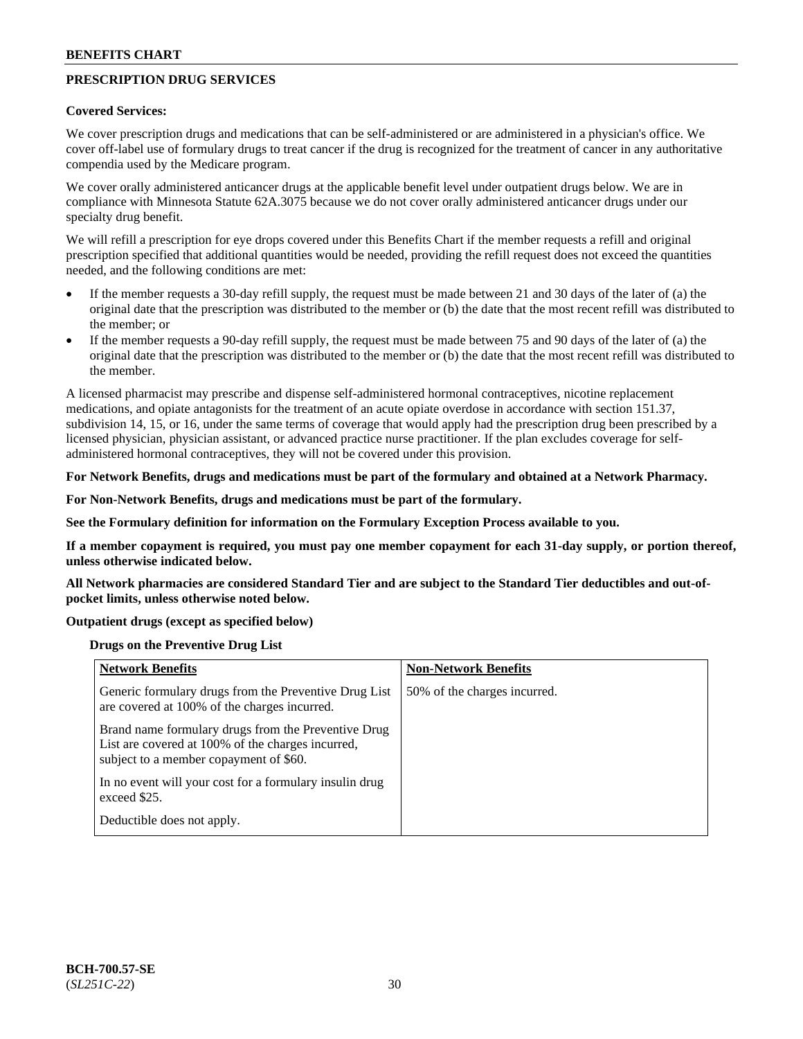# **PRESCRIPTION DRUG SERVICES**

#### **Covered Services:**

We cover prescription drugs and medications that can be self-administered or are administered in a physician's office. We cover off-label use of formulary drugs to treat cancer if the drug is recognized for the treatment of cancer in any authoritative compendia used by the Medicare program.

We cover orally administered anticancer drugs at the applicable benefit level under outpatient drugs below. We are in compliance with Minnesota Statute 62A.3075 because we do not cover orally administered anticancer drugs under our specialty drug benefit.

We will refill a prescription for eye drops covered under this Benefits Chart if the member requests a refill and original prescription specified that additional quantities would be needed, providing the refill request does not exceed the quantities needed, and the following conditions are met:

- If the member requests a 30-day refill supply, the request must be made between 21 and 30 days of the later of (a) the original date that the prescription was distributed to the member or (b) the date that the most recent refill was distributed to the member; or
- If the member requests a 90-day refill supply, the request must be made between 75 and 90 days of the later of (a) the original date that the prescription was distributed to the member or (b) the date that the most recent refill was distributed to the member.

A licensed pharmacist may prescribe and dispense self-administered hormonal contraceptives, nicotine replacement medications, and opiate antagonists for the treatment of an acute opiate overdose in accordance with section 151.37, subdivision 14, 15, or 16, under the same terms of coverage that would apply had the prescription drug been prescribed by a licensed physician, physician assistant, or advanced practice nurse practitioner. If the plan excludes coverage for selfadministered hormonal contraceptives, they will not be covered under this provision.

### **For Network Benefits, drugs and medications must be part of the formulary and obtained at a Network Pharmacy.**

#### **For Non-Network Benefits, drugs and medications must be part of the formulary.**

**See the Formulary definition for information on the Formulary Exception Process available to you.**

**If a member copayment is required, you must pay one member copayment for each 31-day supply, or portion thereof, unless otherwise indicated below.**

**All Network pharmacies are considered Standard Tier and are subject to the Standard Tier deductibles and out-ofpocket limits, unless otherwise noted below.**

### **Outpatient drugs (except as specified below)**

#### **Drugs on the Preventive Drug List**

| <b>Network Benefits</b>                                                                                                                            | <b>Non-Network Benefits</b>  |
|----------------------------------------------------------------------------------------------------------------------------------------------------|------------------------------|
| Generic formulary drugs from the Preventive Drug List<br>are covered at 100% of the charges incurred.                                              | 50% of the charges incurred. |
| Brand name formulary drugs from the Preventive Drug<br>List are covered at 100% of the charges incurred,<br>subject to a member copayment of \$60. |                              |
| In no event will your cost for a formulary insulin drug<br>exceed \$25.                                                                            |                              |
| Deductible does not apply.                                                                                                                         |                              |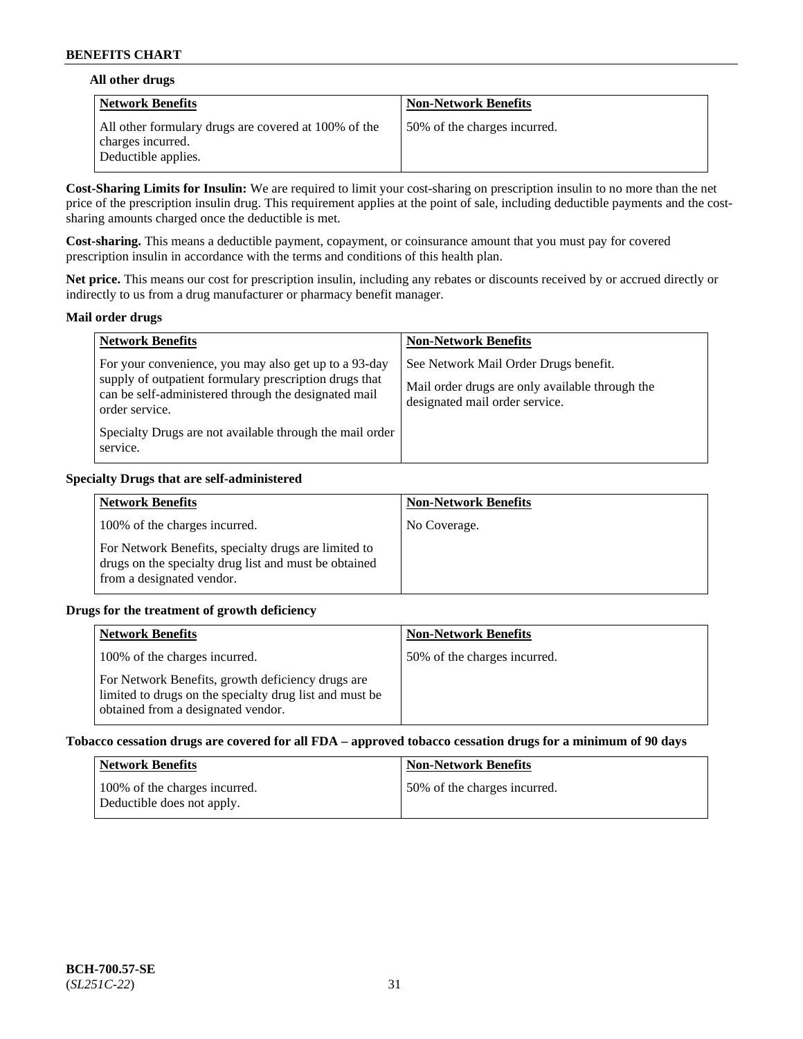### **All other drugs**

| Network Benefits                                                                                 | <b>Non-Network Benefits</b>  |
|--------------------------------------------------------------------------------------------------|------------------------------|
| All other formulary drugs are covered at 100% of the<br>charges incurred.<br>Deductible applies. | 50% of the charges incurred. |

**Cost-Sharing Limits for Insulin:** We are required to limit your cost-sharing on prescription insulin to no more than the net price of the prescription insulin drug. This requirement applies at the point of sale, including deductible payments and the costsharing amounts charged once the deductible is met.

**Cost-sharing.** This means a deductible payment, copayment, or coinsurance amount that you must pay for covered prescription insulin in accordance with the terms and conditions of this health plan.

**Net price.** This means our cost for prescription insulin, including any rebates or discounts received by or accrued directly or indirectly to us from a drug manufacturer or pharmacy benefit manager.

#### **Mail order drugs**

| <b>Network Benefits</b>                                                                                                                                                                                                                                           | <b>Non-Network Benefits</b>                                                                                                |
|-------------------------------------------------------------------------------------------------------------------------------------------------------------------------------------------------------------------------------------------------------------------|----------------------------------------------------------------------------------------------------------------------------|
| For your convenience, you may also get up to a 93-day<br>supply of outpatient formulary prescription drugs that<br>can be self-administered through the designated mail<br>order service.<br>Specialty Drugs are not available through the mail order<br>service. | See Network Mail Order Drugs benefit.<br>Mail order drugs are only available through the<br>designated mail order service. |

### **Specialty Drugs that are self-administered**

| <b>Network Benefits</b>                                                                                                                    | <b>Non-Network Benefits</b> |
|--------------------------------------------------------------------------------------------------------------------------------------------|-----------------------------|
| 100% of the charges incurred.                                                                                                              | No Coverage.                |
| For Network Benefits, specialty drugs are limited to<br>drugs on the specialty drug list and must be obtained<br>from a designated vendor. |                             |

### **Drugs for the treatment of growth deficiency**

| <b>Network Benefits</b>                                                                                                                            | <b>Non-Network Benefits</b>  |
|----------------------------------------------------------------------------------------------------------------------------------------------------|------------------------------|
| 100% of the charges incurred.                                                                                                                      | 50% of the charges incurred. |
| For Network Benefits, growth deficiency drugs are<br>limited to drugs on the specialty drug list and must be<br>obtained from a designated vendor. |                              |

#### **Tobacco cessation drugs are covered for all FDA – approved tobacco cessation drugs for a minimum of 90 days**

| <b>Network Benefits</b>                                     | <b>Non-Network Benefits</b>  |
|-------------------------------------------------------------|------------------------------|
| 100% of the charges incurred.<br>Deductible does not apply. | 50% of the charges incurred. |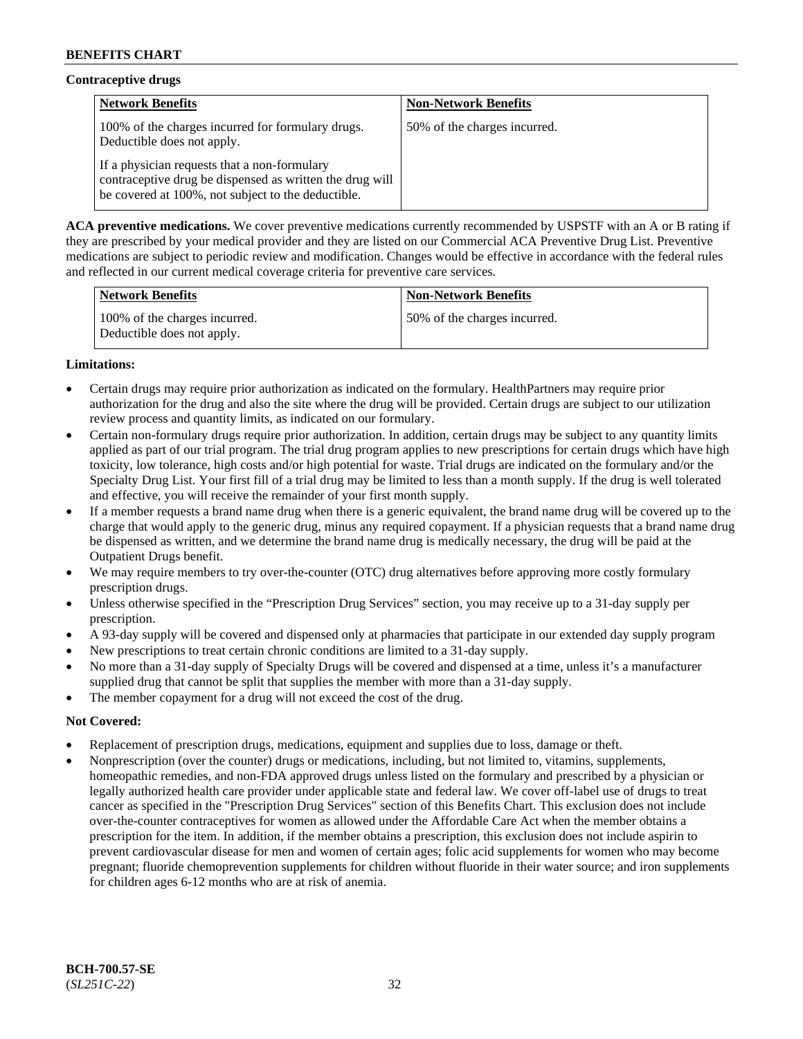# **Contraceptive drugs**

| <b>Network Benefits</b>                                                                                                                                        | <b>Non-Network Benefits</b>  |
|----------------------------------------------------------------------------------------------------------------------------------------------------------------|------------------------------|
| 100% of the charges incurred for formulary drugs.<br>Deductible does not apply.                                                                                | 50% of the charges incurred. |
| If a physician requests that a non-formulary<br>contraceptive drug be dispensed as written the drug will<br>be covered at 100%, not subject to the deductible. |                              |

**ACA preventive medications.** We cover preventive medications currently recommended by USPSTF with an A or B rating if they are prescribed by your medical provider and they are listed on our Commercial ACA Preventive Drug List. Preventive medications are subject to periodic review and modification. Changes would be effective in accordance with the federal rules and reflected in our current medical coverage criteria for preventive care services.

| Network Benefits                                            | <b>Non-Network Benefits</b>  |
|-------------------------------------------------------------|------------------------------|
| 100% of the charges incurred.<br>Deductible does not apply. | 50% of the charges incurred. |

# **Limitations:**

- Certain drugs may require prior authorization as indicated on the formulary. HealthPartners may require prior authorization for the drug and also the site where the drug will be provided. Certain drugs are subject to our utilization review process and quantity limits, as indicated on our formulary.
- Certain non-formulary drugs require prior authorization. In addition, certain drugs may be subject to any quantity limits applied as part of our trial program. The trial drug program applies to new prescriptions for certain drugs which have high toxicity, low tolerance, high costs and/or high potential for waste. Trial drugs are indicated on the formulary and/or the Specialty Drug List. Your first fill of a trial drug may be limited to less than a month supply. If the drug is well tolerated and effective, you will receive the remainder of your first month supply.
- If a member requests a brand name drug when there is a generic equivalent, the brand name drug will be covered up to the charge that would apply to the generic drug, minus any required copayment. If a physician requests that a brand name drug be dispensed as written, and we determine the brand name drug is medically necessary, the drug will be paid at the Outpatient Drugs benefit.
- We may require members to try over-the-counter (OTC) drug alternatives before approving more costly formulary prescription drugs.
- Unless otherwise specified in the "Prescription Drug Services" section, you may receive up to a 31-day supply per prescription.
- A 93-day supply will be covered and dispensed only at pharmacies that participate in our extended day supply program
- New prescriptions to treat certain chronic conditions are limited to a 31-day supply.
- No more than a 31-day supply of Specialty Drugs will be covered and dispensed at a time, unless it's a manufacturer supplied drug that cannot be split that supplies the member with more than a 31-day supply.
- The member copayment for a drug will not exceed the cost of the drug.

### **Not Covered:**

- Replacement of prescription drugs, medications, equipment and supplies due to loss, damage or theft.
- Nonprescription (over the counter) drugs or medications, including, but not limited to, vitamins, supplements, homeopathic remedies, and non-FDA approved drugs unless listed on the formulary and prescribed by a physician or legally authorized health care provider under applicable state and federal law. We cover off-label use of drugs to treat cancer as specified in the "Prescription Drug Services" section of this Benefits Chart. This exclusion does not include over-the-counter contraceptives for women as allowed under the Affordable Care Act when the member obtains a prescription for the item. In addition, if the member obtains a prescription, this exclusion does not include aspirin to prevent cardiovascular disease for men and women of certain ages; folic acid supplements for women who may become pregnant; fluoride chemoprevention supplements for children without fluoride in their water source; and iron supplements for children ages 6-12 months who are at risk of anemia.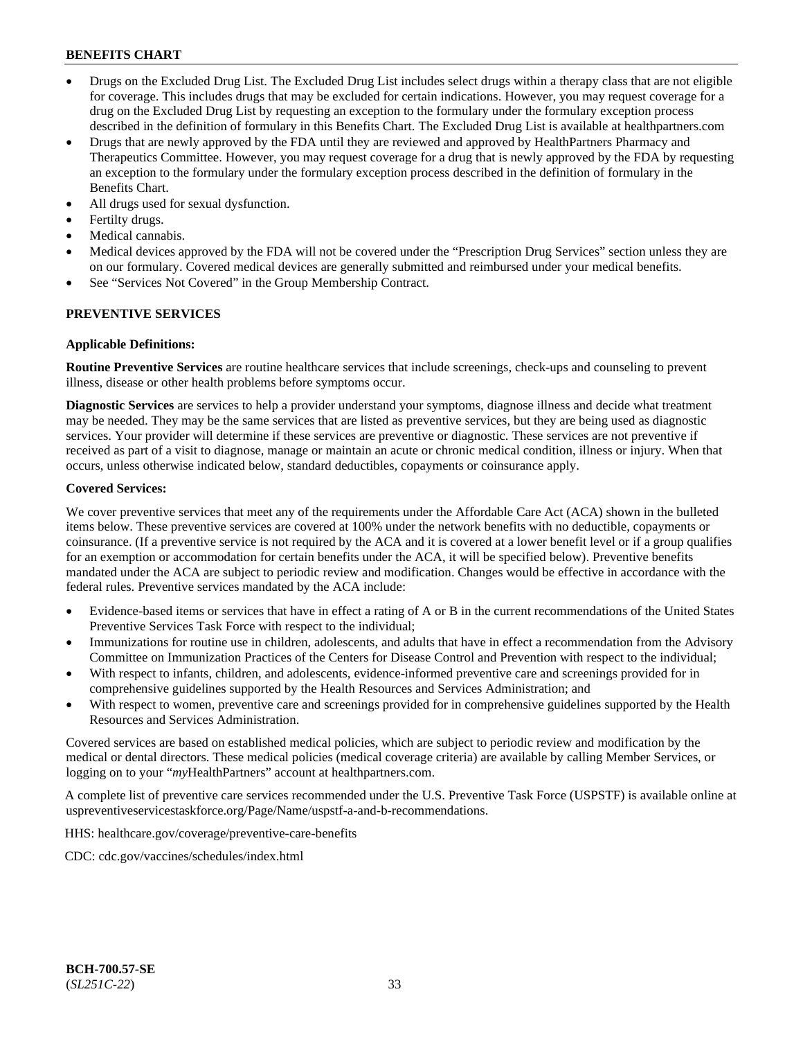- Drugs on the Excluded Drug List. The Excluded Drug List includes select drugs within a therapy class that are not eligible for coverage. This includes drugs that may be excluded for certain indications. However, you may request coverage for a drug on the Excluded Drug List by requesting an exception to the formulary under the formulary exception process described in the definition of formulary in this Benefits Chart. The Excluded Drug List is available at [healthpartners.com](http://www.healthpartners.com/)
- Drugs that are newly approved by the FDA until they are reviewed and approved by HealthPartners Pharmacy and Therapeutics Committee. However, you may request coverage for a drug that is newly approved by the FDA by requesting an exception to the formulary under the formulary exception process described in the definition of formulary in the Benefits Chart.
- All drugs used for sexual dysfunction.
- Fertilty drugs.
- Medical cannabis.
- Medical devices approved by the FDA will not be covered under the "Prescription Drug Services" section unless they are on our formulary. Covered medical devices are generally submitted and reimbursed under your medical benefits.
- See "Services Not Covered" in the Group Membership Contract.

### **PREVENTIVE SERVICES**

#### **Applicable Definitions:**

**Routine Preventive Services** are routine healthcare services that include screenings, check-ups and counseling to prevent illness, disease or other health problems before symptoms occur.

**Diagnostic Services** are services to help a provider understand your symptoms, diagnose illness and decide what treatment may be needed. They may be the same services that are listed as preventive services, but they are being used as diagnostic services. Your provider will determine if these services are preventive or diagnostic. These services are not preventive if received as part of a visit to diagnose, manage or maintain an acute or chronic medical condition, illness or injury. When that occurs, unless otherwise indicated below, standard deductibles, copayments or coinsurance apply.

#### **Covered Services:**

We cover preventive services that meet any of the requirements under the Affordable Care Act (ACA) shown in the bulleted items below. These preventive services are covered at 100% under the network benefits with no deductible, copayments or coinsurance. (If a preventive service is not required by the ACA and it is covered at a lower benefit level or if a group qualifies for an exemption or accommodation for certain benefits under the ACA, it will be specified below). Preventive benefits mandated under the ACA are subject to periodic review and modification. Changes would be effective in accordance with the federal rules. Preventive services mandated by the ACA include:

- Evidence-based items or services that have in effect a rating of A or B in the current recommendations of the United States Preventive Services Task Force with respect to the individual;
- Immunizations for routine use in children, adolescents, and adults that have in effect a recommendation from the Advisory Committee on Immunization Practices of the Centers for Disease Control and Prevention with respect to the individual;
- With respect to infants, children, and adolescents, evidence-informed preventive care and screenings provided for in comprehensive guidelines supported by the Health Resources and Services Administration; and
- With respect to women, preventive care and screenings provided for in comprehensive guidelines supported by the Health Resources and Services Administration.

Covered services are based on established medical policies, which are subject to periodic review and modification by the medical or dental directors. These medical policies (medical coverage criteria) are available by calling Member Services, or logging on to your "*my*HealthPartners" account at [healthpartners.com.](http://www.healthpartners.com/)

A complete list of preventive care services recommended under the U.S. Preventive Task Force (USPSTF) is available online at [uspreventiveservicestaskforce.org/Page/Name/uspstf-a-and-b-recommendations.](https://www.uspreventiveservicestaskforce.org/Page/Name/uspstf-a-and-b-recommendations-by-date/)

HHS: [healthcare.gov/coverage/preventive-care-benefits](https://www.healthcare.gov/coverage/preventive-care-benefits/)

CDC: [cdc.gov/vaccines/schedules/index.html](https://www.cdc.gov/vaccines/schedules/index.html)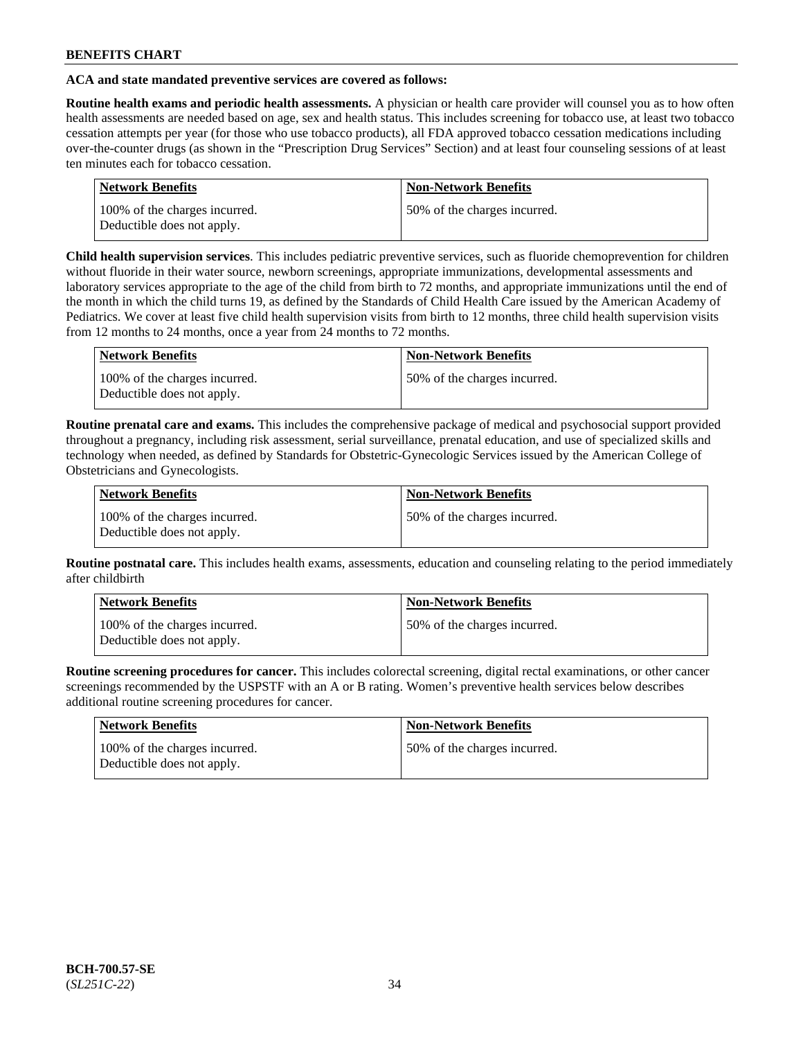### **ACA and state mandated preventive services are covered as follows:**

**Routine health exams and periodic health assessments.** A physician or health care provider will counsel you as to how often health assessments are needed based on age, sex and health status. This includes screening for tobacco use, at least two tobacco cessation attempts per year (for those who use tobacco products), all FDA approved tobacco cessation medications including over-the-counter drugs (as shown in the "Prescription Drug Services" Section) and at least four counseling sessions of at least ten minutes each for tobacco cessation.

| <b>Network Benefits</b>                                     | <b>Non-Network Benefits</b>  |
|-------------------------------------------------------------|------------------------------|
| 100% of the charges incurred.<br>Deductible does not apply. | 50% of the charges incurred. |

**Child health supervision services**. This includes pediatric preventive services, such as fluoride chemoprevention for children without fluoride in their water source, newborn screenings, appropriate immunizations, developmental assessments and laboratory services appropriate to the age of the child from birth to 72 months, and appropriate immunizations until the end of the month in which the child turns 19, as defined by the Standards of Child Health Care issued by the American Academy of Pediatrics. We cover at least five child health supervision visits from birth to 12 months, three child health supervision visits from 12 months to 24 months, once a year from 24 months to 72 months.

| Network Benefits                                            | <b>Non-Network Benefits</b>  |
|-------------------------------------------------------------|------------------------------|
| 100% of the charges incurred.<br>Deductible does not apply. | 50% of the charges incurred. |

**Routine prenatal care and exams.** This includes the comprehensive package of medical and psychosocial support provided throughout a pregnancy, including risk assessment, serial surveillance, prenatal education, and use of specialized skills and technology when needed, as defined by Standards for Obstetric-Gynecologic Services issued by the American College of Obstetricians and Gynecologists.

| Network Benefits                                            | <b>Non-Network Benefits</b>   |
|-------------------------------------------------------------|-------------------------------|
| 100% of the charges incurred.<br>Deductible does not apply. | 150% of the charges incurred. |

**Routine postnatal care.** This includes health exams, assessments, education and counseling relating to the period immediately after childbirth

| Network Benefits                                            | <b>Non-Network Benefits</b>  |
|-------------------------------------------------------------|------------------------------|
| 100% of the charges incurred.<br>Deductible does not apply. | 50% of the charges incurred. |

**Routine screening procedures for cancer.** This includes colorectal screening, digital rectal examinations, or other cancer screenings recommended by the USPSTF with an A or B rating. Women's preventive health services below describes additional routine screening procedures for cancer.

| Network Benefits                                            | <b>Non-Network Benefits</b>  |
|-------------------------------------------------------------|------------------------------|
| 100% of the charges incurred.<br>Deductible does not apply. | 50% of the charges incurred. |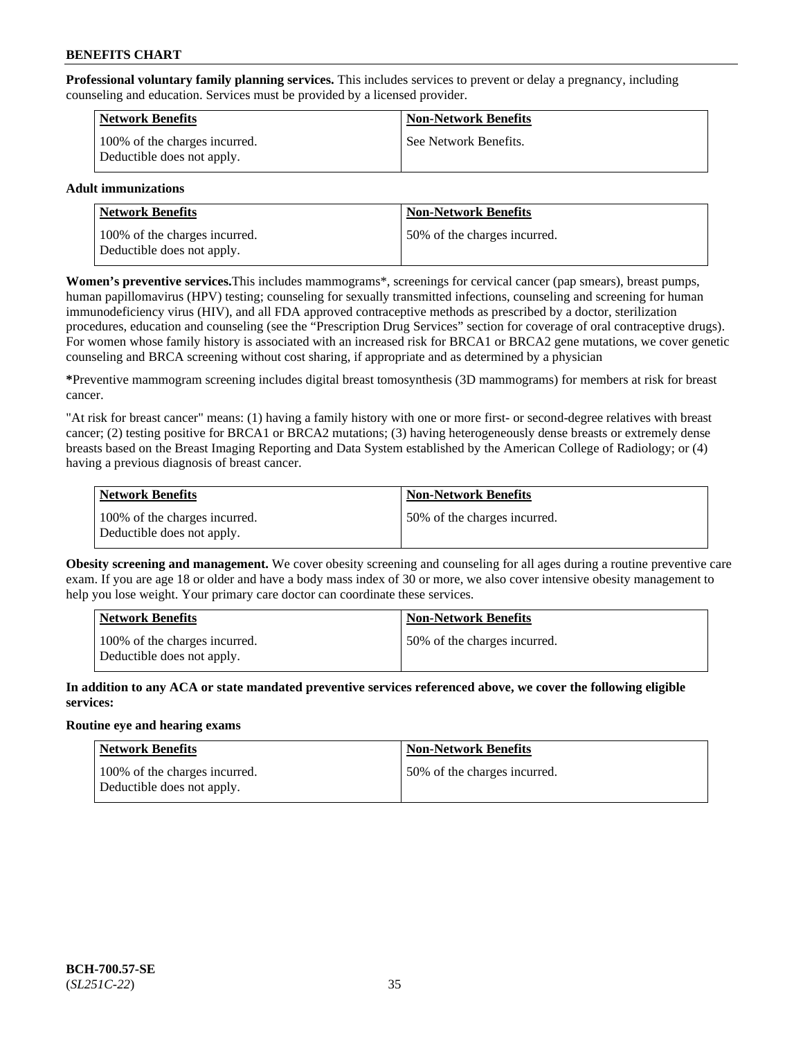**Professional voluntary family planning services.** This includes services to prevent or delay a pregnancy, including counseling and education. Services must be provided by a licensed provider.

| <b>Network Benefits</b>                                     | <b>Non-Network Benefits</b> |
|-------------------------------------------------------------|-----------------------------|
| 100% of the charges incurred.<br>Deductible does not apply. | See Network Benefits.       |

### **Adult immunizations**

| <b>Network Benefits</b>                                     | <b>Non-Network Benefits</b>   |
|-------------------------------------------------------------|-------------------------------|
| 100% of the charges incurred.<br>Deductible does not apply. | 150% of the charges incurred. |

**Women's preventive services.**This includes mammograms\*, screenings for cervical cancer (pap smears), breast pumps, human papillomavirus (HPV) testing; counseling for sexually transmitted infections, counseling and screening for human immunodeficiency virus (HIV), and all FDA approved contraceptive methods as prescribed by a doctor, sterilization procedures, education and counseling (see the "Prescription Drug Services" section for coverage of oral contraceptive drugs). For women whose family history is associated with an increased risk for BRCA1 or BRCA2 gene mutations, we cover genetic counseling and BRCA screening without cost sharing, if appropriate and as determined by a physician

**\***Preventive mammogram screening includes digital breast tomosynthesis (3D mammograms) for members at risk for breast cancer.

"At risk for breast cancer" means: (1) having a family history with one or more first- or second-degree relatives with breast cancer; (2) testing positive for BRCA1 or BRCA2 mutations; (3) having heterogeneously dense breasts or extremely dense breasts based on the Breast Imaging Reporting and Data System established by the American College of Radiology; or (4) having a previous diagnosis of breast cancer.

| Network Benefits                                            | <b>Non-Network Benefits</b>  |
|-------------------------------------------------------------|------------------------------|
| 100% of the charges incurred.<br>Deductible does not apply. | 50% of the charges incurred. |

**Obesity screening and management.** We cover obesity screening and counseling for all ages during a routine preventive care exam. If you are age 18 or older and have a body mass index of 30 or more, we also cover intensive obesity management to help you lose weight. Your primary care doctor can coordinate these services.

| Network Benefits                                            | <b>Non-Network Benefits</b>  |
|-------------------------------------------------------------|------------------------------|
| 100% of the charges incurred.<br>Deductible does not apply. | 50% of the charges incurred. |

**In addition to any ACA or state mandated preventive services referenced above, we cover the following eligible services:**

### **Routine eye and hearing exams**

| Network Benefits                                            | <b>Non-Network Benefits</b>  |
|-------------------------------------------------------------|------------------------------|
| 100% of the charges incurred.<br>Deductible does not apply. | 50% of the charges incurred. |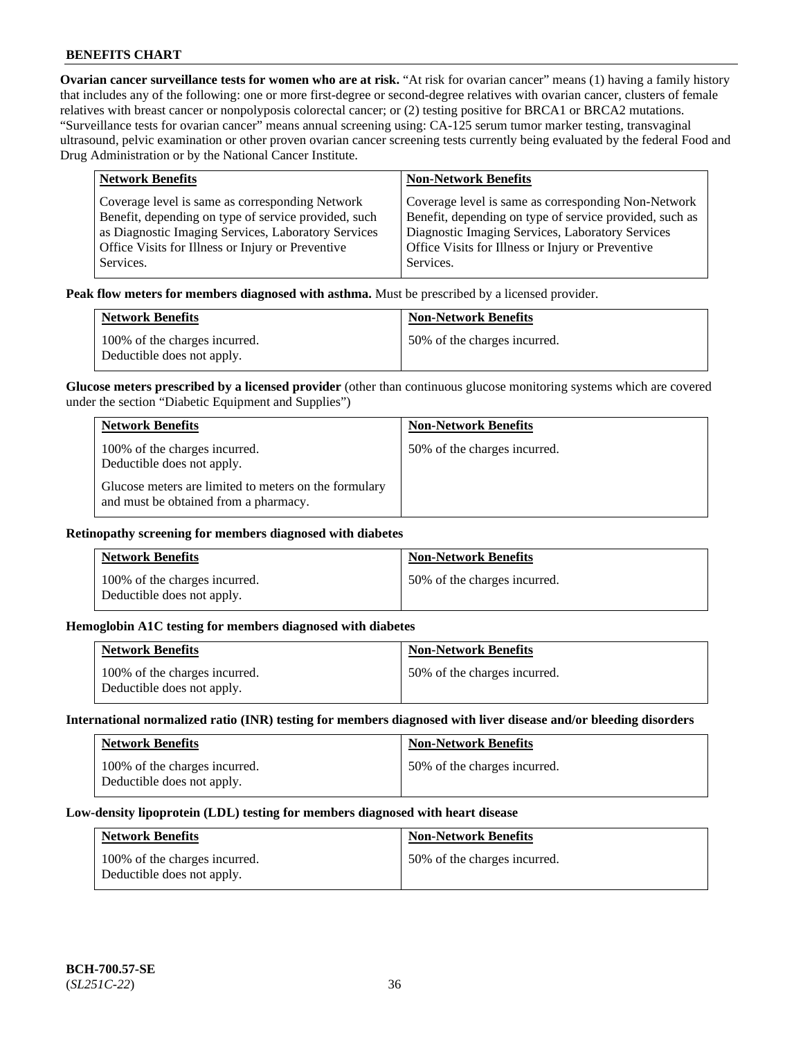**Ovarian cancer surveillance tests for women who are at risk.** "At risk for ovarian cancer" means (1) having a family history that includes any of the following: one or more first-degree or second-degree relatives with ovarian cancer, clusters of female relatives with breast cancer or nonpolyposis colorectal cancer; or (2) testing positive for BRCA1 or BRCA2 mutations. "Surveillance tests for ovarian cancer" means annual screening using: CA-125 serum tumor marker testing, transvaginal ultrasound, pelvic examination or other proven ovarian cancer screening tests currently being evaluated by the federal Food and Drug Administration or by the National Cancer Institute.

| <b>Network Benefits</b>                              | <b>Non-Network Benefits</b>                             |
|------------------------------------------------------|---------------------------------------------------------|
| Coverage level is same as corresponding Network      | Coverage level is same as corresponding Non-Network     |
| Benefit, depending on type of service provided, such | Benefit, depending on type of service provided, such as |
| as Diagnostic Imaging Services, Laboratory Services  | Diagnostic Imaging Services, Laboratory Services        |
| Office Visits for Illness or Injury or Preventive    | Office Visits for Illness or Injury or Preventive       |
| Services.                                            | Services.                                               |

**Peak flow meters for members diagnosed with asthma.** Must be prescribed by a licensed provider.

| <b>Network Benefits</b>                                     | <b>Non-Network Benefits</b>  |
|-------------------------------------------------------------|------------------------------|
| 100% of the charges incurred.<br>Deductible does not apply. | 50% of the charges incurred. |

**Glucose meters prescribed by a licensed provider** (other than continuous glucose monitoring systems which are covered under the section "Diabetic Equipment and Supplies")

| <b>Network Benefits</b>                                                                        | <b>Non-Network Benefits</b>  |
|------------------------------------------------------------------------------------------------|------------------------------|
| 100% of the charges incurred.<br>Deductible does not apply.                                    | 50% of the charges incurred. |
| Glucose meters are limited to meters on the formulary<br>and must be obtained from a pharmacy. |                              |

#### **Retinopathy screening for members diagnosed with diabetes**

| <b>Network Benefits</b>                                     | <b>Non-Network Benefits</b>  |
|-------------------------------------------------------------|------------------------------|
| 100% of the charges incurred.<br>Deductible does not apply. | 50% of the charges incurred. |

#### **Hemoglobin A1C testing for members diagnosed with diabetes**

| <b>Network Benefits</b>                                     | <b>Non-Network Benefits</b>  |
|-------------------------------------------------------------|------------------------------|
| 100% of the charges incurred.<br>Deductible does not apply. | 50% of the charges incurred. |

#### **International normalized ratio (INR) testing for members diagnosed with liver disease and/or bleeding disorders**

| <b>Network Benefits</b>                                     | <b>Non-Network Benefits</b>  |
|-------------------------------------------------------------|------------------------------|
| 100% of the charges incurred.<br>Deductible does not apply. | 50% of the charges incurred. |

#### **Low-density lipoprotein (LDL) testing for members diagnosed with heart disease**

| <b>Network Benefits</b>                                     | <b>Non-Network Benefits</b>  |
|-------------------------------------------------------------|------------------------------|
| 100% of the charges incurred.<br>Deductible does not apply. | 50% of the charges incurred. |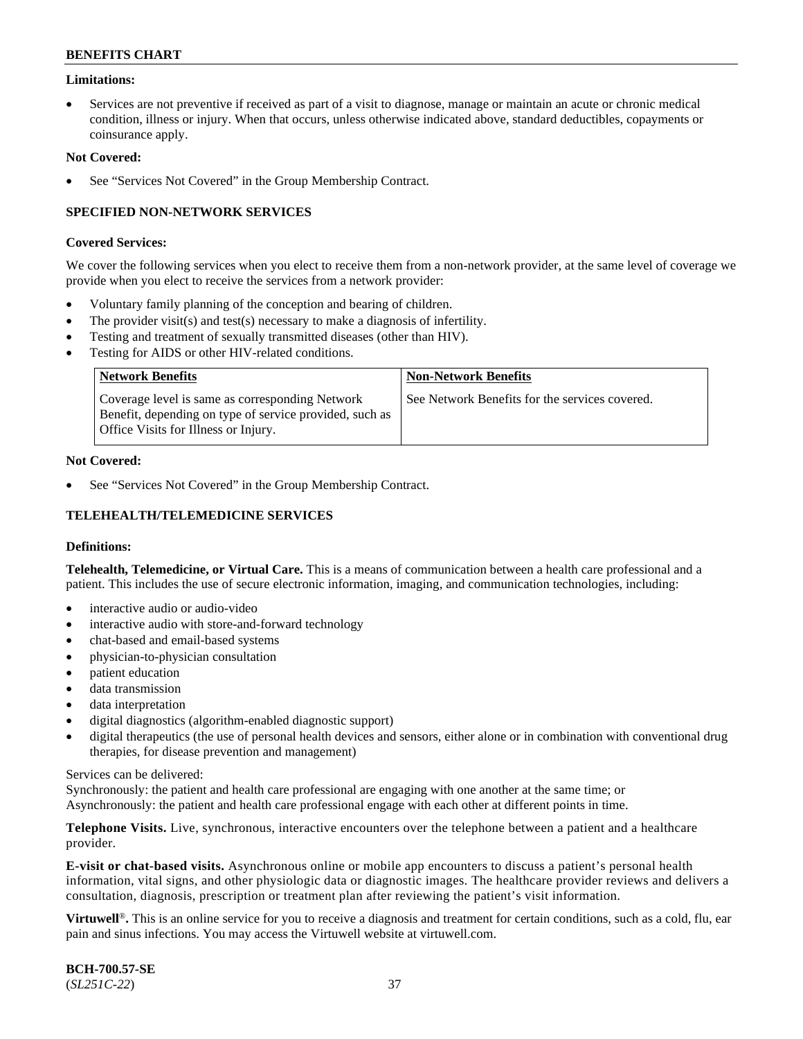### **Limitations:**

• Services are not preventive if received as part of a visit to diagnose, manage or maintain an acute or chronic medical condition, illness or injury. When that occurs, unless otherwise indicated above, standard deductibles, copayments or coinsurance apply.

#### **Not Covered:**

See "Services Not Covered" in the Group Membership Contract.

### **SPECIFIED NON-NETWORK SERVICES**

#### **Covered Services:**

We cover the following services when you elect to receive them from a non-network provider, at the same level of coverage we provide when you elect to receive the services from a network provider:

- Voluntary family planning of the conception and bearing of children.
- The provider visit(s) and test(s) necessary to make a diagnosis of infertility.
- Testing and treatment of sexually transmitted diseases (other than HIV).
- Testing for AIDS or other HIV-related conditions.

| <b>Network Benefits</b>                                                                                                                                   | <b>Non-Network Benefits</b>                    |
|-----------------------------------------------------------------------------------------------------------------------------------------------------------|------------------------------------------------|
| Coverage level is same as corresponding Network<br>Benefit, depending on type of service provided, such as<br><b>Office Visits for Illness or Injury.</b> | See Network Benefits for the services covered. |

#### **Not Covered:**

See "Services Not Covered" in the Group Membership Contract.

# **TELEHEALTH/TELEMEDICINE SERVICES**

#### **Definitions:**

**Telehealth, Telemedicine, or Virtual Care.** This is a means of communication between a health care professional and a patient. This includes the use of secure electronic information, imaging, and communication technologies, including:

- interactive audio or audio-video
- interactive audio with store-and-forward technology
- chat-based and email-based systems
- physician-to-physician consultation
- patient education
- data transmission
- data interpretation
- digital diagnostics (algorithm-enabled diagnostic support)
- digital therapeutics (the use of personal health devices and sensors, either alone or in combination with conventional drug therapies, for disease prevention and management)

#### Services can be delivered:

Synchronously: the patient and health care professional are engaging with one another at the same time; or Asynchronously: the patient and health care professional engage with each other at different points in time.

**Telephone Visits.** Live, synchronous, interactive encounters over the telephone between a patient and a healthcare provider.

**E-visit or chat-based visits.** Asynchronous online or mobile app encounters to discuss a patient's personal health information, vital signs, and other physiologic data or diagnostic images. The healthcare provider reviews and delivers a consultation, diagnosis, prescription or treatment plan after reviewing the patient's visit information.

**Virtuwell<sup>®</sup>**. This is an online service for you to receive a diagnosis and treatment for certain conditions, such as a cold, flu, ear pain and sinus infections. You may access the Virtuwell website at [virtuwell.com.](https://www.virtuwell.com/)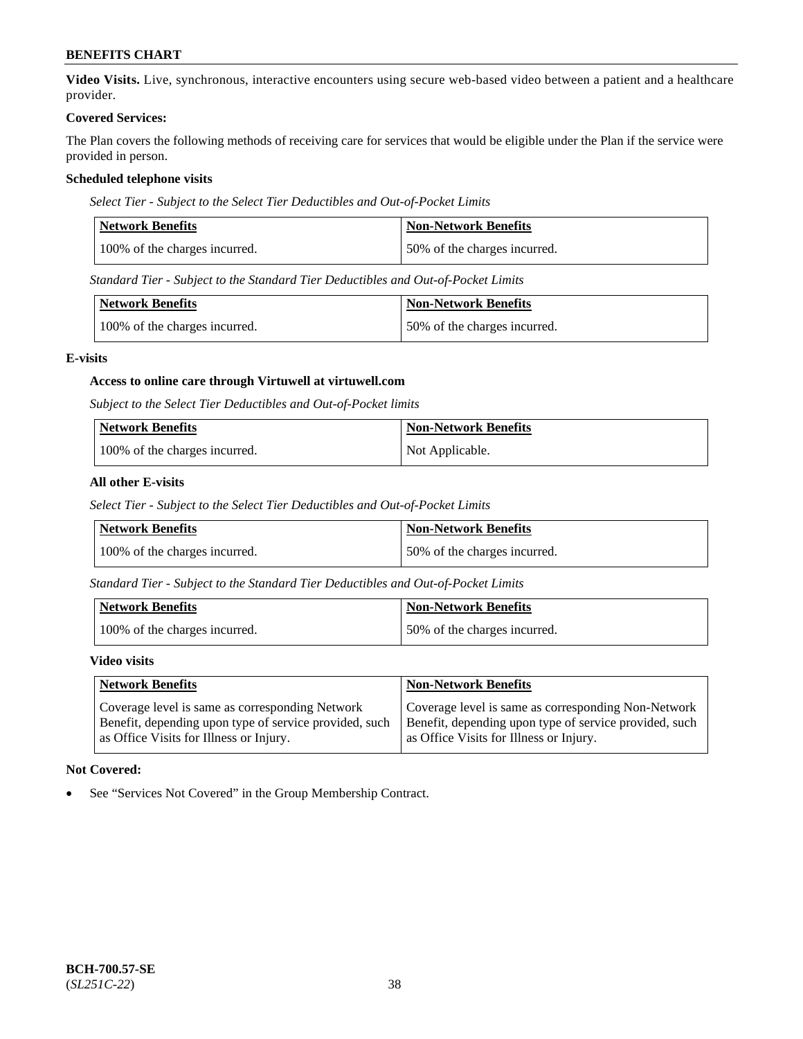**Video Visits.** Live, synchronous, interactive encounters using secure web-based video between a patient and a healthcare provider.

#### **Covered Services:**

The Plan covers the following methods of receiving care for services that would be eligible under the Plan if the service were provided in person.

### **Scheduled telephone visits**

*Select Tier - Subject to the Select Tier Deductibles and Out-of-Pocket Limits*

| Network Benefits              | <b>Non-Network Benefits</b>  |
|-------------------------------|------------------------------|
| 100% of the charges incurred. | 50% of the charges incurred. |

*Standard Tier - Subject to the Standard Tier Deductibles and Out-of-Pocket Limits*

| Network Benefits              | <b>Non-Network Benefits</b>  |
|-------------------------------|------------------------------|
| 100% of the charges incurred. | 50% of the charges incurred. |

#### **E-visits**

### **Access to online care through Virtuwell at [virtuwell.com](https://www.virtuwell.com/)**

*Subject to the Select Tier Deductibles and Out-of-Pocket limits*

| <b>Network Benefits</b>       | <b>Non-Network Benefits</b> |
|-------------------------------|-----------------------------|
| 100% of the charges incurred. | Not Applicable.             |

### **All other E-visits**

*Select Tier - Subject to the Select Tier Deductibles and Out-of-Pocket Limits*

| Network Benefits              | <b>Non-Network Benefits</b>  |
|-------------------------------|------------------------------|
| 100% of the charges incurred. | 50% of the charges incurred. |

*Standard Tier - Subject to the Standard Tier Deductibles and Out-of-Pocket Limits*

| Network Benefits              | <b>Non-Network Benefits</b>  |
|-------------------------------|------------------------------|
| 100% of the charges incurred. | 50% of the charges incurred. |

#### **Video visits**

| <b>Network Benefits</b>                                | <b>Non-Network Benefits</b>                            |
|--------------------------------------------------------|--------------------------------------------------------|
| Coverage level is same as corresponding Network        | Coverage level is same as corresponding Non-Network    |
| Benefit, depending upon type of service provided, such | Benefit, depending upon type of service provided, such |
| as Office Visits for Illness or Injury.                | as Office Visits for Illness or Injury.                |

### **Not Covered:**

See "Services Not Covered" in the Group Membership Contract.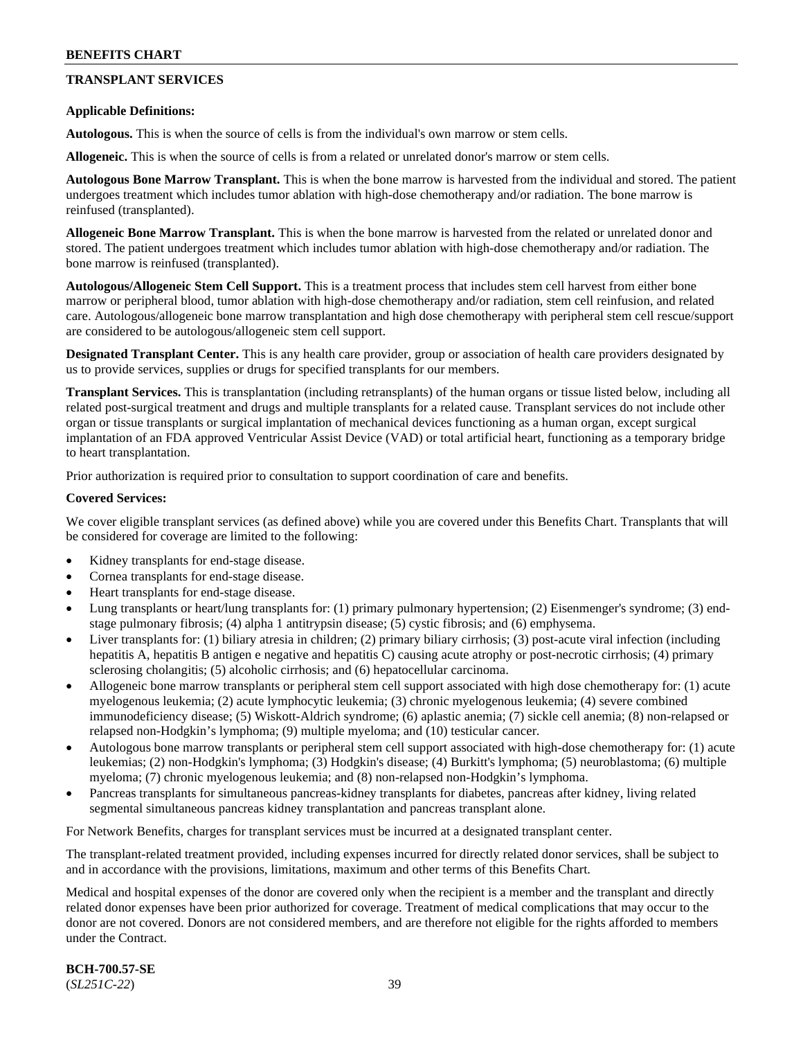# **TRANSPLANT SERVICES**

#### **Applicable Definitions:**

**Autologous.** This is when the source of cells is from the individual's own marrow or stem cells.

**Allogeneic.** This is when the source of cells is from a related or unrelated donor's marrow or stem cells.

**Autologous Bone Marrow Transplant.** This is when the bone marrow is harvested from the individual and stored. The patient undergoes treatment which includes tumor ablation with high-dose chemotherapy and/or radiation. The bone marrow is reinfused (transplanted).

**Allogeneic Bone Marrow Transplant.** This is when the bone marrow is harvested from the related or unrelated donor and stored. The patient undergoes treatment which includes tumor ablation with high-dose chemotherapy and/or radiation. The bone marrow is reinfused (transplanted).

**Autologous/Allogeneic Stem Cell Support.** This is a treatment process that includes stem cell harvest from either bone marrow or peripheral blood, tumor ablation with high-dose chemotherapy and/or radiation, stem cell reinfusion, and related care. Autologous/allogeneic bone marrow transplantation and high dose chemotherapy with peripheral stem cell rescue/support are considered to be autologous/allogeneic stem cell support.

**Designated Transplant Center.** This is any health care provider, group or association of health care providers designated by us to provide services, supplies or drugs for specified transplants for our members.

**Transplant Services.** This is transplantation (including retransplants) of the human organs or tissue listed below, including all related post-surgical treatment and drugs and multiple transplants for a related cause. Transplant services do not include other organ or tissue transplants or surgical implantation of mechanical devices functioning as a human organ, except surgical implantation of an FDA approved Ventricular Assist Device (VAD) or total artificial heart, functioning as a temporary bridge to heart transplantation.

Prior authorization is required prior to consultation to support coordination of care and benefits.

#### **Covered Services:**

We cover eligible transplant services (as defined above) while you are covered under this Benefits Chart. Transplants that will be considered for coverage are limited to the following:

- Kidney transplants for end-stage disease.
- Cornea transplants for end-stage disease.
- Heart transplants for end-stage disease.
- Lung transplants or heart/lung transplants for: (1) primary pulmonary hypertension; (2) Eisenmenger's syndrome; (3) endstage pulmonary fibrosis; (4) alpha 1 antitrypsin disease; (5) cystic fibrosis; and (6) emphysema.
- Liver transplants for: (1) biliary atresia in children; (2) primary biliary cirrhosis; (3) post-acute viral infection (including hepatitis A, hepatitis B antigen e negative and hepatitis C) causing acute atrophy or post-necrotic cirrhosis; (4) primary sclerosing cholangitis; (5) alcoholic cirrhosis; and (6) hepatocellular carcinoma.
- Allogeneic bone marrow transplants or peripheral stem cell support associated with high dose chemotherapy for: (1) acute myelogenous leukemia; (2) acute lymphocytic leukemia; (3) chronic myelogenous leukemia; (4) severe combined immunodeficiency disease; (5) Wiskott-Aldrich syndrome; (6) aplastic anemia; (7) sickle cell anemia; (8) non-relapsed or relapsed non-Hodgkin's lymphoma; (9) multiple myeloma; and (10) testicular cancer.
- Autologous bone marrow transplants or peripheral stem cell support associated with high-dose chemotherapy for: (1) acute leukemias; (2) non-Hodgkin's lymphoma; (3) Hodgkin's disease; (4) Burkitt's lymphoma; (5) neuroblastoma; (6) multiple myeloma; (7) chronic myelogenous leukemia; and (8) non-relapsed non-Hodgkin's lymphoma.
- Pancreas transplants for simultaneous pancreas-kidney transplants for diabetes, pancreas after kidney, living related segmental simultaneous pancreas kidney transplantation and pancreas transplant alone.

For Network Benefits, charges for transplant services must be incurred at a designated transplant center.

The transplant-related treatment provided, including expenses incurred for directly related donor services, shall be subject to and in accordance with the provisions, limitations, maximum and other terms of this Benefits Chart.

Medical and hospital expenses of the donor are covered only when the recipient is a member and the transplant and directly related donor expenses have been prior authorized for coverage. Treatment of medical complications that may occur to the donor are not covered. Donors are not considered members, and are therefore not eligible for the rights afforded to members under the Contract.